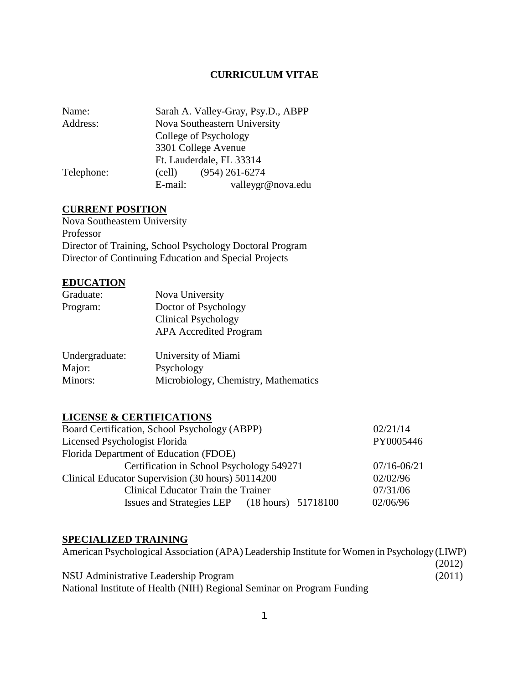## **CURRICULUM VITAE**

| Name:      |         | Sarah A. Valley-Gray, Psy.D., ABPP |
|------------|---------|------------------------------------|
| Address:   |         | Nova Southeastern University       |
|            |         | College of Psychology              |
|            |         | 3301 College Avenue                |
|            |         | Ft. Lauderdale, FL 33314           |
| Telephone: | (cell)  | $(954)$ 261-6274                   |
|            | E-mail: | valleygr@nova.edu                  |

# **CURRENT POSITION**

Nova Southeastern University Professor Director of Training, School Psychology Doctoral Program Director of Continuing Education and Special Projects

# **EDUCATION**

| Graduate: | Nova University               |
|-----------|-------------------------------|
| Program:  | Doctor of Psychology          |
|           | <b>Clinical Psychology</b>    |
|           | <b>APA</b> Accredited Program |
|           |                               |

| Undergraduate: | University of Miami                  |
|----------------|--------------------------------------|
| Major:         | Psychology                           |
| Minors:        | Microbiology, Chemistry, Mathematics |

# **LICENSE & CERTIFICATIONS**

| Board Certification, School Psychology (ABPP)     | 02/21/14        |
|---------------------------------------------------|-----------------|
| Licensed Psychologist Florida                     | PY0005446       |
| Florida Department of Education (FDOE)            |                 |
| Certification in School Psychology 549271         | $07/16 - 06/21$ |
| Clinical Educator Supervision (30 hours) 50114200 | 02/02/96        |
| Clinical Educator Train the Trainer               | 07/31/06        |
| Issues and Strategies LEP (18 hours) 51718100     | 02/06/96        |

# **SPECIALIZED TRAINING**

| American Psychological Association (APA) Leadership Institute for Women in Psychology (LIWP) |        |
|----------------------------------------------------------------------------------------------|--------|
|                                                                                              | (2012) |
| NSU Administrative Leadership Program                                                        | (2011) |
| National Institute of Health (NIH) Regional Seminar on Program Funding                       |        |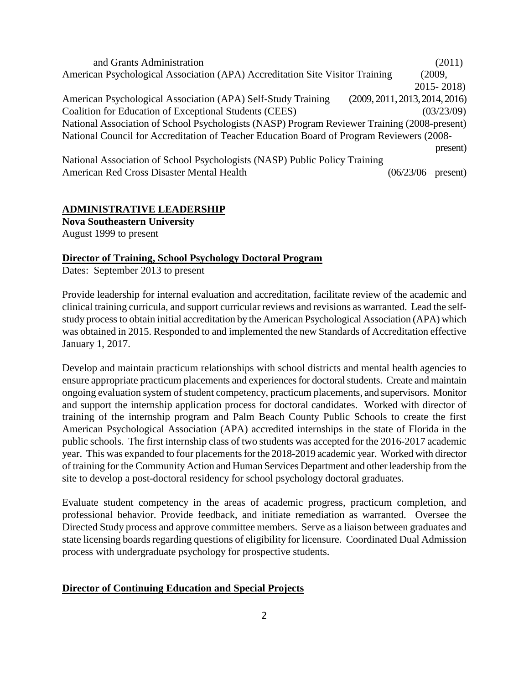and Grants Administration (2011) American Psychological Association (APA) Accreditation Site Visitor Training (2009, 2015- 2018) American Psychological Association (APA) Self-Study Training (2009, 2011, 2013, 2014, 2016) Coalition for Education of Exceptional Students (CEES) (03/23/09) National Association of School Psychologists (NASP) Program Reviewer Training (2008-present) National Council for Accreditation of Teacher Education Board of Program Reviewers (2008 present) National Association of School Psychologists (NASP) Public Policy Training

American Red Cross Disaster Mental Health (06/23/06 – present)

# **ADMINISTRATIVE LEADERSHIP**

**Nova Southeastern University**  August 1999 to present

## **Director of Training, School Psychology Doctoral Program**

Dates: September 2013 to present

Provide leadership for internal evaluation and accreditation, facilitate review of the academic and clinical training curricula, and support curricular reviews and revisions as warranted. Lead the selfstudy process to obtain initial accreditation by the American Psychological Association (APA) which was obtained in 2015. Responded to and implemented the new Standards of Accreditation effective January 1, 2017.

Develop and maintain practicum relationships with school districts and mental health agencies to ensure appropriate practicum placements and experiences for doctoral students. Create and maintain ongoing evaluation system of student competency, practicum placements, and supervisors. Monitor and support the internship application process for doctoral candidates. Worked with director of training of the internship program and Palm Beach County Public Schools to create the first American Psychological Association (APA) accredited internships in the state of Florida in the public schools. The first internship class of two students was accepted for the 2016-2017 academic year. This was expanded to four placements for the 2018-2019 academic year. Worked with director of training for the Community Action and Human Services Department and other leadership from the site to develop a post-doctoral residency for school psychology doctoral graduates.

Evaluate student competency in the areas of academic progress, practicum completion, and professional behavior. Provide feedback, and initiate remediation as warranted. Oversee the Directed Study process and approve committee members. Serve as a liaison between graduates and state licensing boards regarding questions of eligibility for licensure. Coordinated Dual Admission process with undergraduate psychology for prospective students.

## **Director of Continuing Education and Special Projects**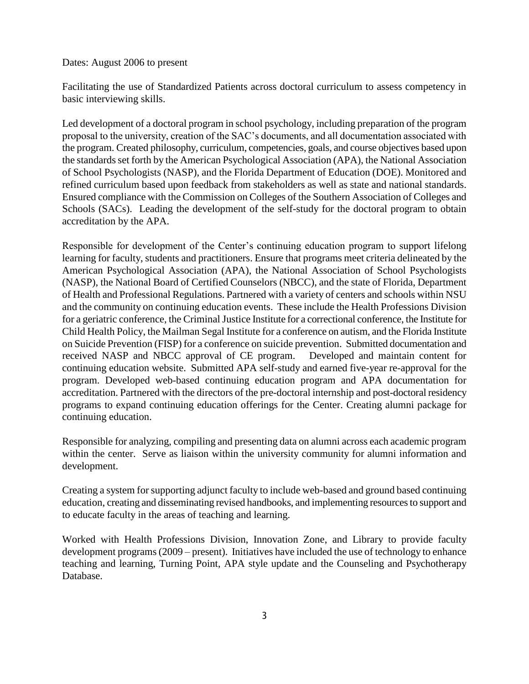### Dates: August 2006 to present

Facilitating the use of Standardized Patients across doctoral curriculum to assess competency in basic interviewing skills.

Led development of a doctoral program in school psychology, including preparation of the program proposal to the university, creation of the SAC's documents, and all documentation associated with the program. Created philosophy, curriculum, competencies, goals, and course objectives based upon the standards set forth by the American Psychological Association (APA), the National Association of School Psychologists (NASP), and the Florida Department of Education (DOE). Monitored and refined curriculum based upon feedback from stakeholders as well as state and national standards. Ensured compliance with the Commission on Colleges of the Southern Association of Colleges and Schools (SACs). Leading the development of the self-study for the doctoral program to obtain accreditation by the APA.

Responsible for development of the Center's continuing education program to support lifelong learning for faculty, students and practitioners. Ensure that programs meet criteria delineated by the American Psychological Association (APA), the National Association of School Psychologists (NASP), the National Board of Certified Counselors (NBCC), and the state of Florida, Department of Health and Professional Regulations. Partnered with a variety of centers and schools within NSU and the community on continuing education events. These include the Health Professions Division for a geriatric conference, the Criminal Justice Institute for a correctional conference, the Institute for Child Health Policy, the Mailman Segal Institute for a conference on autism, and the Florida Institute on Suicide Prevention (FISP) for a conference on suicide prevention. Submitted documentation and received NASP and NBCC approval of CE program. Developed and maintain content for continuing education website. Submitted APA self-study and earned five-year re-approval for the program. Developed web-based continuing education program and APA documentation for accreditation. Partnered with the directors of the pre-doctoral internship and post-doctoral residency programs to expand continuing education offerings for the Center. Creating alumni package for continuing education.

Responsible for analyzing, compiling and presenting data on alumni across each academic program within the center. Serve as liaison within the university community for alumni information and development.

Creating a system for supporting adjunct faculty to include web-based and ground based continuing education, creating and disseminating revised handbooks, and implementing resources to support and to educate faculty in the areas of teaching and learning.

Worked with Health Professions Division, Innovation Zone, and Library to provide faculty development programs(2009 – present). Initiatives have included the use of technology to enhance teaching and learning, Turning Point, APA style update and the Counseling and Psychotherapy Database.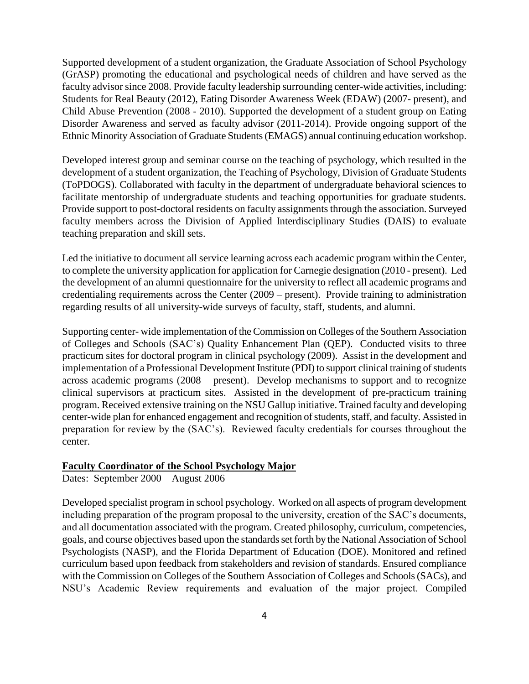Supported development of a student organization, the Graduate Association of School Psychology (GrASP) promoting the educational and psychological needs of children and have served as the faculty advisor since 2008. Provide faculty leadership surrounding center-wide activities, including: Students for Real Beauty (2012), Eating Disorder Awareness Week (EDAW) (2007- present), and Child Abuse Prevention (2008 - 2010). Supported the development of a student group on Eating Disorder Awareness and served as faculty advisor (2011-2014). Provide ongoing support of the Ethnic Minority Association of Graduate Students (EMAGS) annual continuing education workshop.

Developed interest group and seminar course on the teaching of psychology, which resulted in the development of a student organization, the Teaching of Psychology, Division of Graduate Students (ToPDOGS). Collaborated with faculty in the department of undergraduate behavioral sciences to facilitate mentorship of undergraduate students and teaching opportunities for graduate students. Provide support to post-doctoral residents on faculty assignments through the association. Surveyed faculty members across the Division of Applied Interdisciplinary Studies (DAIS) to evaluate teaching preparation and skill sets.

Led the initiative to document all service learning across each academic program within the Center, to complete the university application for application for Carnegie designation (2010 - present). Led the development of an alumni questionnaire for the university to reflect all academic programs and credentialing requirements across the Center (2009 – present). Provide training to administration regarding results of all university-wide surveys of faculty, staff, students, and alumni.

Supporting center- wide implementation of the Commission on Colleges of the Southern Association of Colleges and Schools (SAC's) Quality Enhancement Plan (QEP). Conducted visits to three practicum sites for doctoral program in clinical psychology (2009). Assist in the development and implementation of a Professional Development Institute (PDI) to support clinical training of students across academic programs (2008 – present). Develop mechanisms to support and to recognize clinical supervisors at practicum sites. Assisted in the development of pre-practicum training program. Received extensive training on the NSU Gallup initiative. Trained faculty and developing center-wide plan for enhanced engagement and recognition of students, staff, and faculty. Assisted in preparation for review by the (SAC's). Reviewed faculty credentials for courses throughout the center.

## **Faculty Coordinator of the School Psychology Major**

Dates: September 2000 – August 2006

Developed specialist program in school psychology. Worked on all aspects of program development including preparation of the program proposal to the university, creation of the SAC's documents, and all documentation associated with the program. Created philosophy, curriculum, competencies, goals, and course objectives based upon the standards set forth by the National Association of School Psychologists (NASP), and the Florida Department of Education (DOE). Monitored and refined curriculum based upon feedback from stakeholders and revision of standards. Ensured compliance with the Commission on Colleges of the Southern Association of Colleges and Schools (SACs), and NSU's Academic Review requirements and evaluation of the major project. Compiled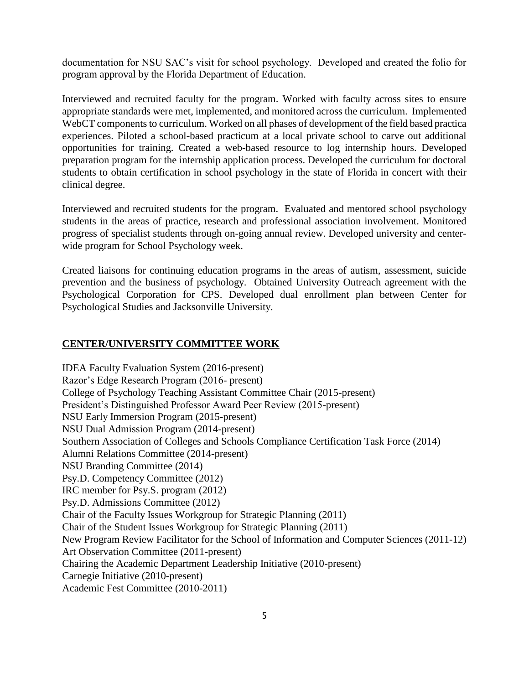documentation for NSU SAC's visit for school psychology. Developed and created the folio for program approval by the Florida Department of Education.

Interviewed and recruited faculty for the program. Worked with faculty across sites to ensure appropriate standards were met, implemented, and monitored across the curriculum. Implemented WebCT components to curriculum. Worked on all phases of development of the field based practica experiences. Piloted a school-based practicum at a local private school to carve out additional opportunities for training. Created a web-based resource to log internship hours. Developed preparation program for the internship application process. Developed the curriculum for doctoral students to obtain certification in school psychology in the state of Florida in concert with their clinical degree.

Interviewed and recruited students for the program. Evaluated and mentored school psychology students in the areas of practice, research and professional association involvement. Monitored progress of specialist students through on-going annual review. Developed university and centerwide program for School Psychology week.

Created liaisons for continuing education programs in the areas of autism, assessment, suicide prevention and the business of psychology. Obtained University Outreach agreement with the Psychological Corporation for CPS. Developed dual enrollment plan between Center for Psychological Studies and Jacksonville University.

## **CENTER/UNIVERSITY COMMITTEE WORK**

IDEA Faculty Evaluation System (2016-present) Razor's Edge Research Program (2016- present) College of Psychology Teaching Assistant Committee Chair (2015-present) President's Distinguished Professor Award Peer Review (2015-present) NSU Early Immersion Program (2015-present) NSU Dual Admission Program (2014-present) Southern Association of Colleges and Schools Compliance Certification Task Force (2014) Alumni Relations Committee (2014-present) NSU Branding Committee (2014) Psy.D. Competency Committee (2012) IRC member for Psy.S. program (2012) Psy.D. Admissions Committee (2012) Chair of the Faculty Issues Workgroup for Strategic Planning (2011) Chair of the Student Issues Workgroup for Strategic Planning (2011) New Program Review Facilitator for the School of Information and Computer Sciences (2011-12) Art Observation Committee (2011-present) Chairing the Academic Department Leadership Initiative (2010-present) Carnegie Initiative (2010-present) Academic Fest Committee (2010-2011)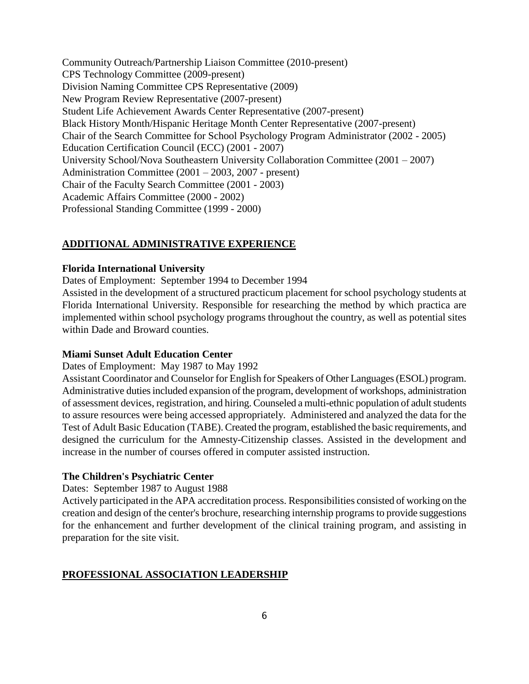Community Outreach/Partnership Liaison Committee (2010-present) CPS Technology Committee (2009-present) Division Naming Committee CPS Representative (2009) New Program Review Representative (2007-present) Student Life Achievement Awards Center Representative (2007-present) Black History Month/Hispanic Heritage Month Center Representative (2007-present) Chair of the Search Committee for School Psychology Program Administrator (2002 - 2005) Education Certification Council (ECC) (2001 - 2007) University School/Nova Southeastern University Collaboration Committee (2001 – 2007) Administration Committee (2001 – 2003, 2007 - present) Chair of the Faculty Search Committee (2001 - 2003) Academic Affairs Committee (2000 - 2002) Professional Standing Committee (1999 - 2000)

## **ADDITIONAL ADMINISTRATIVE EXPERIENCE**

### **Florida International University**

Dates of Employment: September 1994 to December 1994

Assisted in the development of a structured practicum placement for school psychology students at Florida International University. Responsible for researching the method by which practica are implemented within school psychology programs throughout the country, as well as potential sites within Dade and Broward counties.

### **Miami Sunset Adult Education Center**

Dates of Employment: May 1987 to May 1992

Assistant Coordinator and Counselor for English for Speakers of Other Languages (ESOL) program. Administrative duties included expansion of the program, development of workshops, administration of assessment devices, registration, and hiring. Counseled a multi-ethnic population of adult students to assure resources were being accessed appropriately. Administered and analyzed the data for the Test of Adult Basic Education (TABE). Created the program, established the basic requirements, and designed the curriculum for the Amnesty-Citizenship classes. Assisted in the development and increase in the number of courses offered in computer assisted instruction.

### **The Children's Psychiatric Center**

Dates: September 1987 to August 1988

Actively participated in the APA accreditation process. Responsibilities consisted of working on the creation and design of the center's brochure, researching internship programs to provide suggestions for the enhancement and further development of the clinical training program, and assisting in preparation for the site visit.

## **PROFESSIONAL ASSOCIATION LEADERSHIP**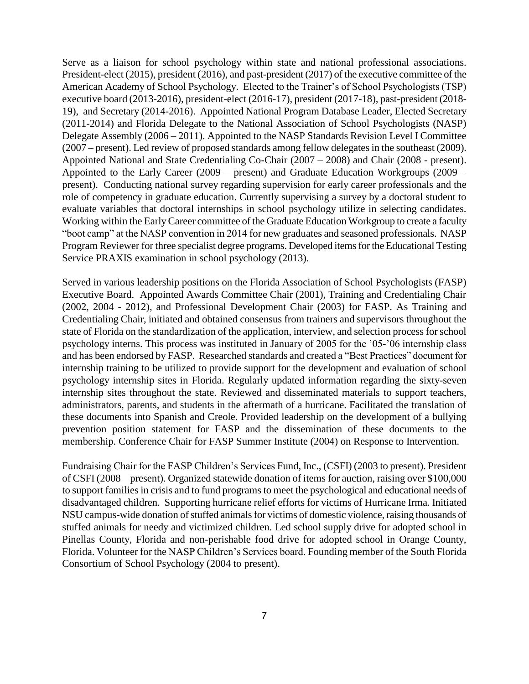Serve as a liaison for school psychology within state and national professional associations. President-elect (2015), president (2016), and past-president (2017) of the executive committee of the American Academy of School Psychology. Elected to the Trainer's of School Psychologists (TSP) executive board (2013-2016), president-elect (2016-17), president (2017-18), past-president (2018- 19), and Secretary (2014-2016). Appointed National Program Database Leader, Elected Secretary (2011-2014) and Florida Delegate to the National Association of School Psychologists (NASP) Delegate Assembly (2006 – 2011). Appointed to the NASP Standards Revision Level I Committee (2007 – present). Led review of proposed standards among fellow delegates in the southeast (2009). Appointed National and State Credentialing Co-Chair (2007 – 2008) and Chair (2008 - present). Appointed to the Early Career (2009 – present) and Graduate Education Workgroups (2009 – present). Conducting national survey regarding supervision for early career professionals and the role of competency in graduate education. Currently supervising a survey by a doctoral student to evaluate variables that doctoral internships in school psychology utilize in selecting candidates. Working within the Early Career committee of the Graduate Education Workgroup to create a faculty "boot camp" at the NASP convention in 2014 for new graduates and seasoned professionals. NASP Program Reviewer for three specialist degree programs. Developed items for the Educational Testing Service PRAXIS examination in school psychology (2013).

Served in various leadership positions on the Florida Association of School Psychologists (FASP) Executive Board. Appointed Awards Committee Chair (2001), Training and Credentialing Chair (2002, 2004 - 2012), and Professional Development Chair (2003) for FASP. As Training and Credentialing Chair, initiated and obtained consensus from trainers and supervisors throughout the state of Florida on the standardization of the application, interview, and selection process for school psychology interns. This process was instituted in January of 2005 for the '05-'06 internship class and has been endorsed by FASP. Researched standards and created a "Best Practices" document for internship training to be utilized to provide support for the development and evaluation of school psychology internship sites in Florida. Regularly updated information regarding the sixty-seven internship sites throughout the state. Reviewed and disseminated materials to support teachers, administrators, parents, and students in the aftermath of a hurricane. Facilitated the translation of these documents into Spanish and Creole. Provided leadership on the development of a bullying prevention position statement for FASP and the dissemination of these documents to the membership. Conference Chair for FASP Summer Institute (2004) on Response to Intervention.

Fundraising Chair for the FASP Children's Services Fund, Inc., (CSFI) (2003 to present). President of CSFI (2008 – present). Organized statewide donation of items for auction, raising over \$100,000 to support families in crisis and to fund programs to meet the psychological and educational needs of disadvantaged children. Supporting hurricane relief efforts for victims of Hurricane Irma. Initiated NSU campus-wide donation of stuffed animals for victims of domestic violence, raising thousands of stuffed animals for needy and victimized children. Led school supply drive for adopted school in Pinellas County, Florida and non-perishable food drive for adopted school in Orange County, Florida. Volunteer for the NASP Children's Services board. Founding member of the South Florida Consortium of School Psychology (2004 to present).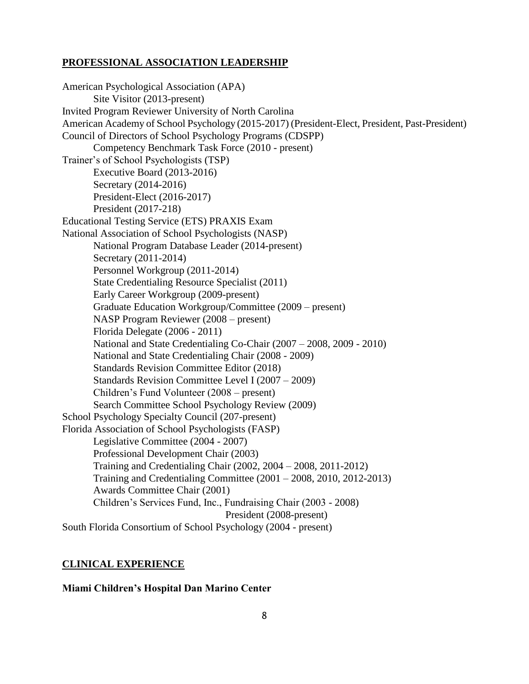# **PROFESSIONAL ASSOCIATION LEADERSHIP**

American Psychological Association (APA) Site Visitor (2013-present) Invited Program Reviewer University of North Carolina American Academy of School Psychology (2015-2017) (President-Elect, President, Past-President) Council of Directors of School Psychology Programs (CDSPP) Competency Benchmark Task Force (2010 - present) Trainer's of School Psychologists (TSP) Executive Board (2013-2016) Secretary (2014-2016) President-Elect (2016-2017) President (2017-218) Educational Testing Service (ETS) PRAXIS Exam National Association of School Psychologists (NASP) National Program Database Leader (2014-present) Secretary (2011-2014) Personnel Workgroup (2011-2014) State Credentialing Resource Specialist (2011) Early Career Workgroup (2009-present) Graduate Education Workgroup/Committee (2009 – present) NASP Program Reviewer (2008 – present) Florida Delegate (2006 - 2011) National and State Credentialing Co-Chair (2007 – 2008, 2009 - 2010) National and State Credentialing Chair (2008 - 2009) Standards Revision Committee Editor (2018) Standards Revision Committee Level I (2007 – 2009) Children's Fund Volunteer (2008 – present) Search Committee School Psychology Review (2009) School Psychology Specialty Council (207-present) Florida Association of School Psychologists (FASP) Legislative Committee (2004 - 2007) Professional Development Chair (2003) Training and Credentialing Chair (2002, 2004 – 2008, 2011-2012) Training and Credentialing Committee (2001 – 2008, 2010, 2012-2013) Awards Committee Chair (2001) Children's Services Fund, Inc., Fundraising Chair (2003 - 2008) President (2008-present) South Florida Consortium of School Psychology (2004 - present)

# **CLINICAL EXPERIENCE**

## **Miami Children's Hospital Dan Marino Center**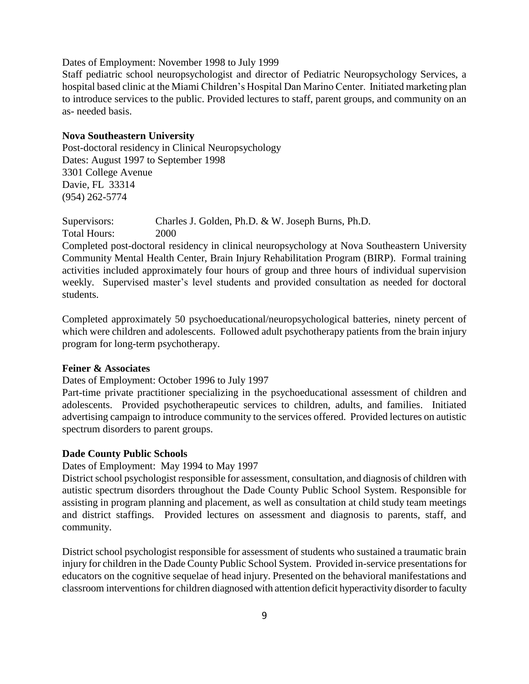Dates of Employment: November 1998 to July 1999

Staff pediatric school neuropsychologist and director of Pediatric Neuropsychology Services, a hospital based clinic at the Miami Children's Hospital Dan Marino Center. Initiated marketing plan to introduce services to the public. Provided lectures to staff, parent groups, and community on an as- needed basis.

#### **Nova Southeastern University**

Post-doctoral residency in Clinical Neuropsychology Dates: August 1997 to September 1998 3301 College Avenue Davie, FL 33314 (954) 262-5774

Supervisors: Charles J. Golden, Ph.D. & W. Joseph Burns, Ph.D. Total Hours: 2000

Completed post-doctoral residency in clinical neuropsychology at Nova Southeastern University Community Mental Health Center, Brain Injury Rehabilitation Program (BIRP). Formal training activities included approximately four hours of group and three hours of individual supervision weekly. Supervised master's level students and provided consultation as needed for doctoral students.

Completed approximately 50 psychoeducational/neuropsychological batteries, ninety percent of which were children and adolescents. Followed adult psychotherapy patients from the brain injury program for long-term psychotherapy.

### **Feiner & Associates**

Dates of Employment: October 1996 to July 1997

Part-time private practitioner specializing in the psychoeducational assessment of children and adolescents. Provided psychotherapeutic services to children, adults, and families. Initiated advertising campaign to introduce community to the services offered. Provided lectures on autistic spectrum disorders to parent groups.

#### **Dade County Public Schools**

Dates of Employment: May 1994 to May 1997

District school psychologist responsible for assessment, consultation, and diagnosis of children with autistic spectrum disorders throughout the Dade County Public School System. Responsible for assisting in program planning and placement, as well as consultation at child study team meetings and district staffings. Provided lectures on assessment and diagnosis to parents, staff, and community.

District school psychologist responsible for assessment of students who sustained a traumatic brain injury for children in the Dade County Public School System. Provided in-service presentations for educators on the cognitive sequelae of head injury. Presented on the behavioral manifestations and classroom interventions for children diagnosed with attention deficit hyperactivity disorder to faculty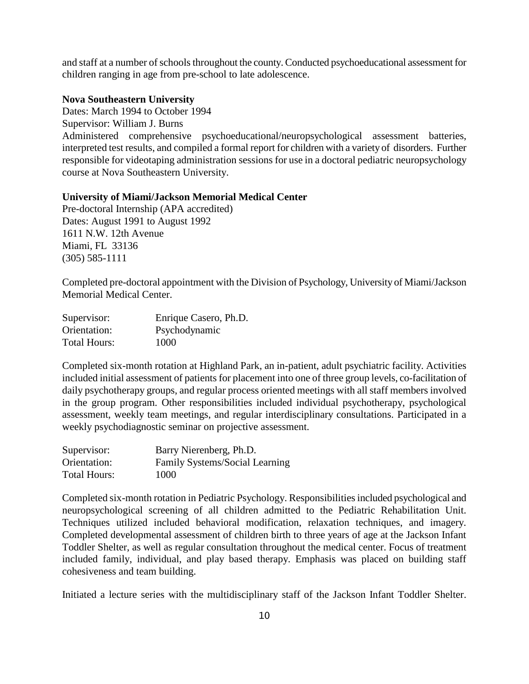and staff at a number of schools throughout the county. Conducted psychoeducational assessment for children ranging in age from pre-school to late adolescence.

## **Nova Southeastern University**

Dates: March 1994 to October 1994 Supervisor: William J. Burns Administered comprehensive psychoeducational/neuropsychological assessment batteries, interpreted test results, and compiled a formal report for children with a variety of disorders. Further responsible for videotaping administration sessions for use in a doctoral pediatric neuropsychology course at Nova Southeastern University.

## **University of Miami/Jackson Memorial Medical Center**

Pre-doctoral Internship (APA accredited) Dates: August 1991 to August 1992 1611 N.W. 12th Avenue Miami, FL 33136 (305) 585-1111

Completed pre-doctoral appointment with the Division of Psychology, University of Miami/Jackson Memorial Medical Center.

| Supervisor:  | Enrique Casero, Ph.D. |
|--------------|-----------------------|
| Orientation: | Psychodynamic         |
| Total Hours: | 1000                  |

Completed six-month rotation at Highland Park, an in-patient, adult psychiatric facility. Activities included initial assessment of patients for placement into one of three group levels, co-facilitation of daily psychotherapy groups, and regular process oriented meetings with all staff members involved in the group program. Other responsibilities included individual psychotherapy, psychological assessment, weekly team meetings, and regular interdisciplinary consultations. Participated in a weekly psychodiagnostic seminar on projective assessment.

| Supervisor:  | Barry Nierenberg, Ph.D.        |
|--------------|--------------------------------|
| Orientation: | Family Systems/Social Learning |
| Total Hours: | 1000                           |

Completed six-month rotation in Pediatric Psychology. Responsibilities included psychological and neuropsychological screening of all children admitted to the Pediatric Rehabilitation Unit. Techniques utilized included behavioral modification, relaxation techniques, and imagery. Completed developmental assessment of children birth to three years of age at the Jackson Infant Toddler Shelter, as well as regular consultation throughout the medical center. Focus of treatment included family, individual, and play based therapy. Emphasis was placed on building staff cohesiveness and team building.

Initiated a lecture series with the multidisciplinary staff of the Jackson Infant Toddler Shelter.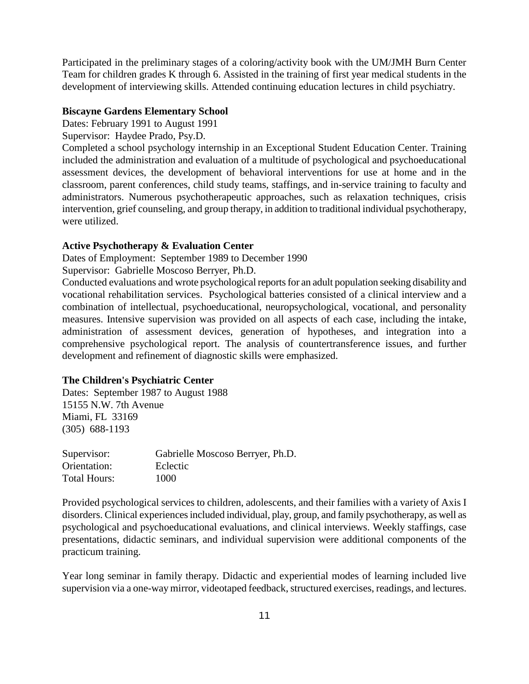Participated in the preliminary stages of a coloring/activity book with the UM/JMH Burn Center Team for children grades K through 6. Assisted in the training of first year medical students in the development of interviewing skills. Attended continuing education lectures in child psychiatry.

## **Biscayne Gardens Elementary School**

Dates: February 1991 to August 1991

Supervisor: Haydee Prado, Psy.D.

Completed a school psychology internship in an Exceptional Student Education Center. Training included the administration and evaluation of a multitude of psychological and psychoeducational assessment devices, the development of behavioral interventions for use at home and in the classroom, parent conferences, child study teams, staffings, and in-service training to faculty and administrators. Numerous psychotherapeutic approaches, such as relaxation techniques, crisis intervention, grief counseling, and group therapy, in addition to traditional individual psychotherapy, were utilized.

### **Active Psychotherapy & Evaluation Center**

Dates of Employment: September 1989 to December 1990

Supervisor: Gabrielle Moscoso Berryer, Ph.D.

Conducted evaluations and wrote psychological reports for an adult population seeking disability and vocational rehabilitation services. Psychological batteries consisted of a clinical interview and a combination of intellectual, psychoeducational, neuropsychological, vocational, and personality measures. Intensive supervision was provided on all aspects of each case, including the intake, administration of assessment devices, generation of hypotheses, and integration into a comprehensive psychological report. The analysis of countertransference issues, and further development and refinement of diagnostic skills were emphasized.

## **The Children's Psychiatric Center**

Dates: September 1987 to August 1988 15155 N.W. 7th Avenue Miami, FL 33169 (305) 688-1193

| Supervisor:  | Gabrielle Moscoso Berryer, Ph.D. |
|--------------|----------------------------------|
| Orientation: | Eclectic                         |
| Total Hours: | 1000                             |

Provided psychological services to children, adolescents, and their families with a variety of Axis I disorders. Clinical experiences included individual, play, group, and family psychotherapy, as well as psychological and psychoeducational evaluations, and clinical interviews. Weekly staffings, case presentations, didactic seminars, and individual supervision were additional components of the practicum training.

Year long seminar in family therapy. Didactic and experiential modes of learning included live supervision via a one-way mirror, videotaped feedback, structured exercises, readings, and lectures.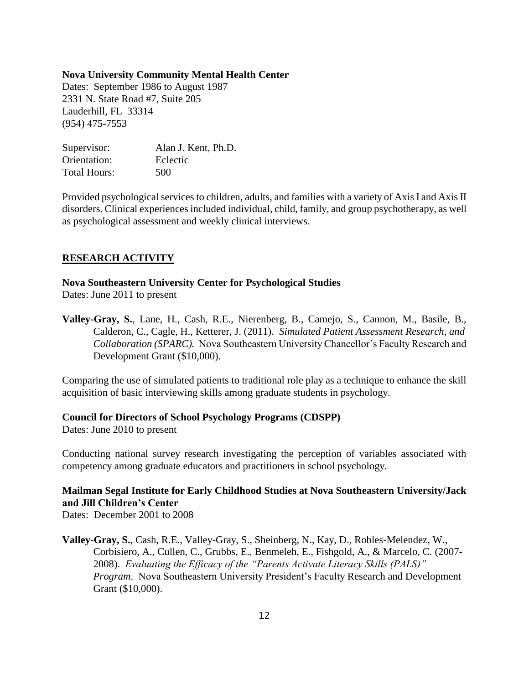#### **Nova University Community Mental Health Center**

Dates: September 1986 to August 1987 2331 N. State Road #7, Suite 205 Lauderhill, FL 33314 (954) 475-7553

| Supervisor:         | Alan J. Kent, Ph.D. |
|---------------------|---------------------|
| Orientation:        | Eclectic            |
| <b>Total Hours:</b> | 500                 |

Provided psychological services to children, adults, and families with a variety of Axis I and Axis II disorders. Clinical experiences included individual, child, family, and group psychotherapy, as well as psychological assessment and weekly clinical interviews.

## **RESEARCH ACTIVITY**

### **Nova Southeastern University Center for Psychological Studies**

Dates: June 2011 to present

**Valley-Gray, S.**, Lane, H., Cash, R.E., Nierenberg, B., Camejo, S., Cannon, M., Basile, B., Calderon, C., Cagle, H., Ketterer, J. (2011). *Simulated Patient Assessment Research, and Collaboration (SPARC).* Nova Southeastern University Chancellor's Faculty Research and Development Grant (\$10,000).

Comparing the use of simulated patients to traditional role play as a technique to enhance the skill acquisition of basic interviewing skills among graduate students in psychology.

#### **Council for Directors of School Psychology Programs (CDSPP)**

Dates: June 2010 to present

Conducting national survey research investigating the perception of variables associated with competency among graduate educators and practitioners in school psychology.

# **Mailman Segal Institute for Early Childhood Studies at Nova Southeastern University/Jack and Jill Children's Center**

Dates: December 2001 to 2008

**Valley-Gray, S.**, Cash, R.E., Valley-Gray, S., Sheinberg, N., Kay, D., Robles-Melendez, W., Corbisiero, A., Cullen, C., Grubbs, E., Benmeleh, E., Fishgold, A., & Marcelo, C. (2007- 2008). *Evaluating the Efficacy of the "Parents Activate Literacy Skills (PALS)" Program*. Nova Southeastern University President's Faculty Research and Development Grant (\$10,000).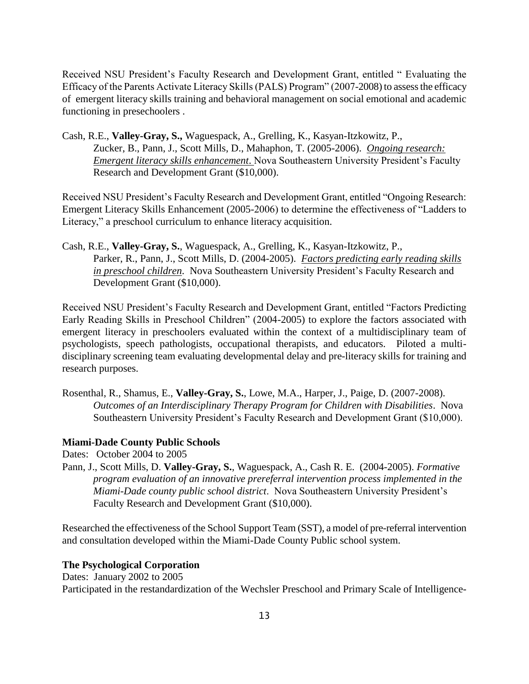Received NSU President's Faculty Research and Development Grant, entitled " Evaluating the Efficacy of the Parents Activate Literacy Skills (PALS) Program" (2007-2008) to assess the efficacy of emergent literacy skills training and behavioral management on social emotional and academic functioning in presechoolers .

Cash, R.E., **Valley-Gray, S.,** Waguespack, A., Grelling, K., Kasyan-Itzkowitz, P., Zucker, B., Pann, J., Scott Mills, D., Mahaphon, T. (2005-2006). *Ongoing research: Emergent literacy skills enhancement*. Nova Southeastern University President's Faculty Research and Development Grant (\$10,000).

Received NSU President's Faculty Research and Development Grant, entitled "Ongoing Research: Emergent Literacy Skills Enhancement (2005-2006) to determine the effectiveness of "Ladders to Literacy," a preschool curriculum to enhance literacy acquisition.

Cash, R.E., **Valley-Gray, S.**, Waguespack, A., Grelling, K., Kasyan-Itzkowitz, P., Parker, R., Pann, J., Scott Mills, D. (2004-2005). *Factors predicting early reading skills in preschool children*. Nova Southeastern University President's Faculty Research and Development Grant (\$10,000).

Received NSU President's Faculty Research and Development Grant, entitled "Factors Predicting Early Reading Skills in Preschool Children" (2004-2005) to explore the factors associated with emergent literacy in preschoolers evaluated within the context of a multidisciplinary team of psychologists, speech pathologists, occupational therapists, and educators. Piloted a multidisciplinary screening team evaluating developmental delay and pre-literacy skills for training and research purposes.

Rosenthal, R., Shamus, E., **Valley-Gray, S.**, Lowe, M.A., Harper, J., Paige, D. (2007-2008). *Outcomes of an Interdisciplinary Therapy Program for Children with Disabilities*. Nova Southeastern University President's Faculty Research and Development Grant (\$10,000).

## **Miami-Dade County Public Schools**

Dates: October 2004 to 2005

Pann, J., Scott Mills, D. **Valley-Gray, S.**, Waguespack, A., Cash R. E. (2004-2005). *Formative program evaluation of an innovative prereferral intervention process implemented in the Miami-Dade county public school district*. Nova Southeastern University President's Faculty Research and Development Grant (\$10,000).

Researched the effectiveness of the School Support Team (SST), a model of pre-referral intervention and consultation developed within the Miami-Dade County Public school system.

## **The Psychological Corporation**

Dates: January 2002 to 2005 Participated in the restandardization of the Wechsler Preschool and Primary Scale of Intelligence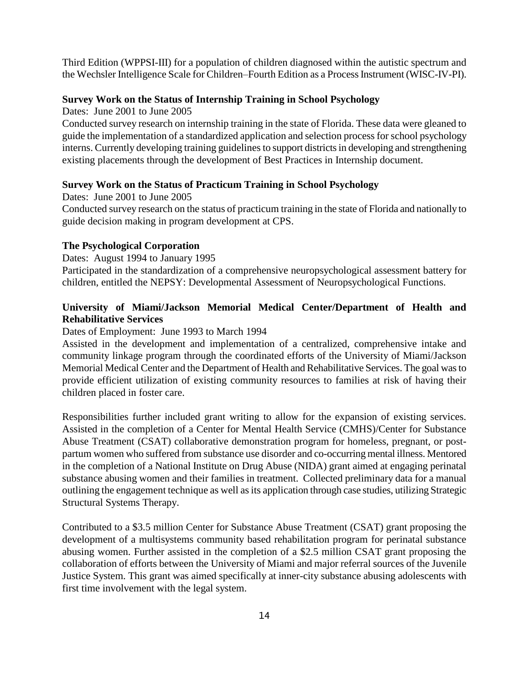Third Edition (WPPSI-III) for a population of children diagnosed within the autistic spectrum and the Wechsler Intelligence Scale for Children–Fourth Edition as a Process Instrument (WISC-IV-PI).

# **Survey Work on the Status of Internship Training in School Psychology**

## Dates: June 2001 to June 2005

Conducted survey research on internship training in the state of Florida. These data were gleaned to guide the implementation of a standardized application and selection process forschool psychology interns. Currently developing training guidelines to support districts in developing and strengthening existing placements through the development of Best Practices in Internship document.

# **Survey Work on the Status of Practicum Training in School Psychology**

Dates: June 2001 to June 2005

Conducted survey research on the status of practicum training in the state of Florida and nationally to guide decision making in program development at CPS.

# **The Psychological Corporation**

Dates: August 1994 to January 1995

Participated in the standardization of a comprehensive neuropsychological assessment battery for children, entitled the NEPSY: Developmental Assessment of Neuropsychological Functions.

# **University of Miami/Jackson Memorial Medical Center/Department of Health and Rehabilitative Services**

# Dates of Employment: June 1993 to March 1994

Assisted in the development and implementation of a centralized, comprehensive intake and community linkage program through the coordinated efforts of the University of Miami/Jackson Memorial Medical Center and the Department of Health and Rehabilitative Services. The goal was to provide efficient utilization of existing community resources to families at risk of having their children placed in foster care.

Responsibilities further included grant writing to allow for the expansion of existing services. Assisted in the completion of a Center for Mental Health Service (CMHS)/Center for Substance Abuse Treatment (CSAT) collaborative demonstration program for homeless, pregnant, or postpartum women who suffered from substance use disorder and co-occurring mental illness. Mentored in the completion of a National Institute on Drug Abuse (NIDA) grant aimed at engaging perinatal substance abusing women and their families in treatment. Collected preliminary data for a manual outlining the engagement technique as well as its application through case studies, utilizing Strategic Structural Systems Therapy.

Contributed to a \$3.5 million Center for Substance Abuse Treatment (CSAT) grant proposing the development of a multisystems community based rehabilitation program for perinatal substance abusing women. Further assisted in the completion of a \$2.5 million CSAT grant proposing the collaboration of efforts between the University of Miami and major referral sources of the Juvenile Justice System. This grant was aimed specifically at inner-city substance abusing adolescents with first time involvement with the legal system.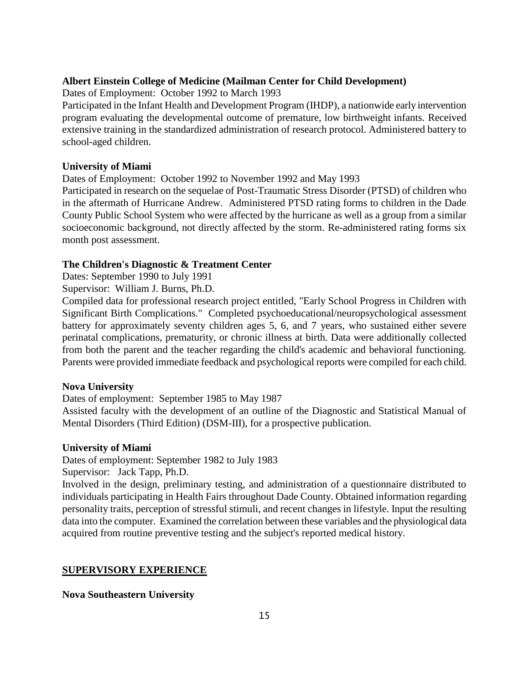## **Albert Einstein College of Medicine (Mailman Center for Child Development)**

Dates of Employment: October 1992 to March 1993

Participated in the Infant Health and Development Program (IHDP), a nationwide early intervention program evaluating the developmental outcome of premature, low birthweight infants. Received extensive training in the standardized administration of research protocol. Administered battery to school-aged children.

## **University of Miami**

Dates of Employment: October 1992 to November 1992 and May 1993

Participated in research on the sequelae of Post-Traumatic Stress Disorder (PTSD) of children who in the aftermath of Hurricane Andrew. Administered PTSD rating forms to children in the Dade County Public School System who were affected by the hurricane as well as a group from a similar socioeconomic background, not directly affected by the storm. Re-administered rating forms six month post assessment.

## **The Children's Diagnostic & Treatment Center**

Dates: September 1990 to July 1991

Supervisor: William J. Burns, Ph.D.

Compiled data for professional research project entitled, "Early School Progress in Children with Significant Birth Complications." Completed psychoeducational/neuropsychological assessment battery for approximately seventy children ages 5, 6, and 7 years, who sustained either severe perinatal complications, prematurity, or chronic illness at birth. Data were additionally collected from both the parent and the teacher regarding the child's academic and behavioral functioning. Parents were provided immediate feedback and psychological reports were compiled for each child.

## **Nova University**

Dates of employment: September 1985 to May 1987

Assisted faculty with the development of an outline of the Diagnostic and Statistical Manual of Mental Disorders (Third Edition) (DSM-III), for a prospective publication.

## **University of Miami**

Dates of employment: September 1982 to July 1983

Supervisor: Jack Tapp, Ph.D.

Involved in the design, preliminary testing, and administration of a questionnaire distributed to individuals participating in Health Fairs throughout Dade County. Obtained information regarding personality traits, perception of stressful stimuli, and recent changes in lifestyle. Input the resulting data into the computer. Examined the correlation between these variables and the physiological data acquired from routine preventive testing and the subject's reported medical history.

## **SUPERVISORY EXPERIENCE**

## **Nova Southeastern University**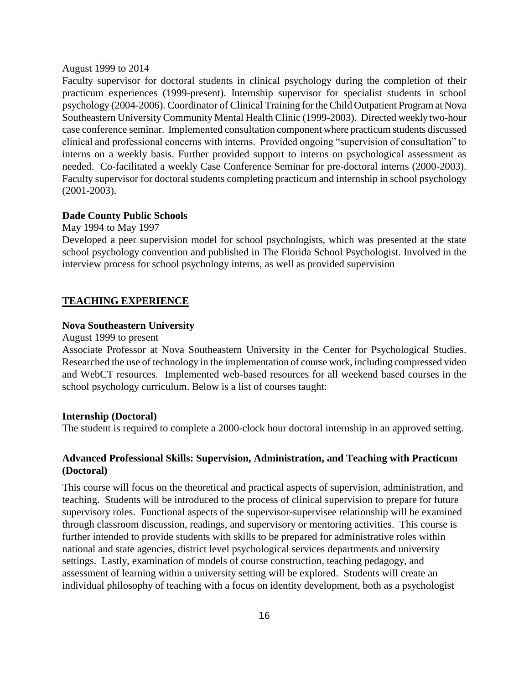#### August 1999 to 2014

Faculty supervisor for doctoral students in clinical psychology during the completion of their practicum experiences (1999-present). Internship supervisor for specialist students in school psychology (2004-2006). Coordinator of Clinical Training for the Child Outpatient Program at Nova Southeastern University Community Mental Health Clinic (1999-2003). Directed weekly two-hour case conference seminar. Implemented consultation component where practicum students discussed clinical and professional concerns with interns. Provided ongoing "supervision of consultation" to interns on a weekly basis. Further provided support to interns on psychological assessment as needed. Co-facilitated a weekly Case Conference Seminar for pre-doctoral interns (2000-2003). Faculty supervisor for doctoral students completing practicum and internship in school psychology (2001-2003).

## **Dade County Public Schools**

May 1994 to May 1997

Developed a peer supervision model for school psychologists, which was presented at the state school psychology convention and published in The Florida School Psychologist. Involved in the interview process for school psychology interns, as well as provided supervision

#### **TEACHING EXPERIENCE**

#### **Nova Southeastern University**

August 1999 to present

Associate Professor at Nova Southeastern University in the Center for Psychological Studies. Researched the use of technology in the implementation of course work, including compressed video and WebCT resources. Implemented web-based resources for all weekend based courses in the school psychology curriculum. Below is a list of courses taught:

#### **Internship (Doctoral)**

The student is required to complete a 2000-clock hour doctoral internship in an approved setting.

## **Advanced Professional Skills: Supervision, Administration, and Teaching with Practicum (Doctoral)**

This course will focus on the theoretical and practical aspects of supervision, administration, and teaching. Students will be introduced to the process of clinical supervision to prepare for future supervisory roles. Functional aspects of the supervisor-supervisee relationship will be examined through classroom discussion, readings, and supervisory or mentoring activities. This course is further intended to provide students with skills to be prepared for administrative roles within national and state agencies, district level psychological services departments and university settings. Lastly, examination of models of course construction, teaching pedagogy, and assessment of learning within a university setting will be explored. Students will create an individual philosophy of teaching with a focus on identity development, both as a psychologist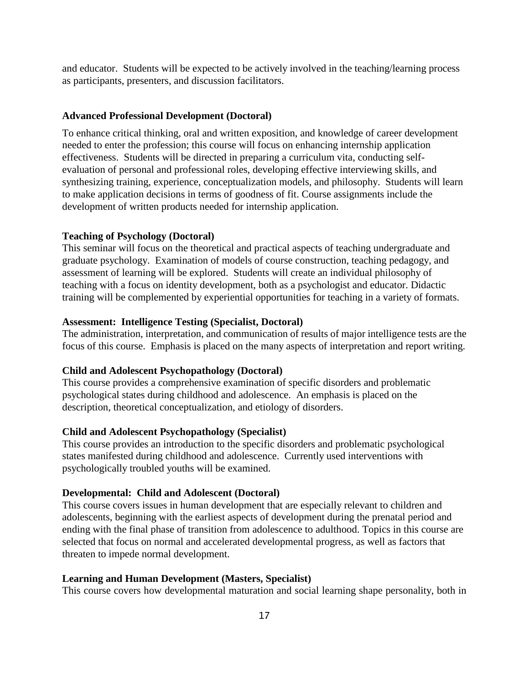and educator. Students will be expected to be actively involved in the teaching/learning process as participants, presenters, and discussion facilitators.

#### **Advanced Professional Development (Doctoral)**

To enhance critical thinking, oral and written exposition, and knowledge of career development needed to enter the profession; this course will focus on enhancing internship application effectiveness. Students will be directed in preparing a curriculum vita, conducting selfevaluation of personal and professional roles, developing effective interviewing skills, and synthesizing training, experience, conceptualization models, and philosophy. Students will learn to make application decisions in terms of goodness of fit. Course assignments include the development of written products needed for internship application.

# **Teaching of Psychology (Doctoral)**

This seminar will focus on the theoretical and practical aspects of teaching undergraduate and graduate psychology. Examination of models of course construction, teaching pedagogy, and assessment of learning will be explored. Students will create an individual philosophy of teaching with a focus on identity development, both as a psychologist and educator. Didactic training will be complemented by experiential opportunities for teaching in a variety of formats.

#### **Assessment: Intelligence Testing (Specialist, Doctoral)**

The administration, interpretation, and communication of results of major intelligence tests are the focus of this course. Emphasis is placed on the many aspects of interpretation and report writing.

## **Child and Adolescent Psychopathology (Doctoral)**

This course provides a comprehensive examination of specific disorders and problematic psychological states during childhood and adolescence. An emphasis is placed on the description, theoretical conceptualization, and etiology of disorders.

## **Child and Adolescent Psychopathology (Specialist)**

This course provides an introduction to the specific disorders and problematic psychological states manifested during childhood and adolescence. Currently used interventions with psychologically troubled youths will be examined.

#### **Developmental: Child and Adolescent (Doctoral)**

This course covers issues in human development that are especially relevant to children and adolescents, beginning with the earliest aspects of development during the prenatal period and ending with the final phase of transition from adolescence to adulthood. Topics in this course are selected that focus on normal and accelerated developmental progress, as well as factors that threaten to impede normal development.

#### **Learning and Human Development (Masters, Specialist)**

This course covers how developmental maturation and social learning shape personality, both in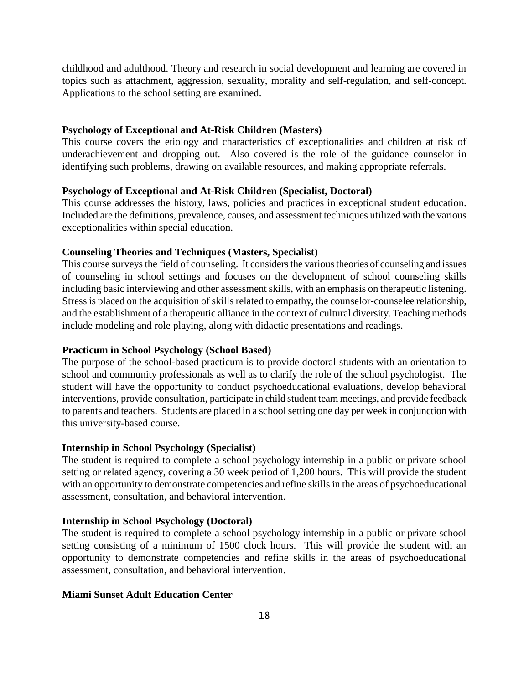childhood and adulthood. Theory and research in social development and learning are covered in topics such as attachment, aggression, sexuality, morality and self-regulation, and self-concept. Applications to the school setting are examined.

### **Psychology of Exceptional and At-Risk Children (Masters)**

This course covers the etiology and characteristics of exceptionalities and children at risk of underachievement and dropping out. Also covered is the role of the guidance counselor in identifying such problems, drawing on available resources, and making appropriate referrals.

### **Psychology of Exceptional and At-Risk Children (Specialist, Doctoral)**

This course addresses the history, laws, policies and practices in exceptional student education. Included are the definitions, prevalence, causes, and assessment techniques utilized with the various exceptionalities within special education.

## **Counseling Theories and Techniques (Masters, Specialist)**

This course surveys the field of counseling. It considers the various theories of counseling and issues of counseling in school settings and focuses on the development of school counseling skills including basic interviewing and other assessment skills, with an emphasis on therapeutic listening. Stress is placed on the acquisition of skills related to empathy, the counselor-counselee relationship, and the establishment of a therapeutic alliance in the context of cultural diversity. Teaching methods include modeling and role playing, along with didactic presentations and readings.

### **Practicum in School Psychology (School Based)**

The purpose of the school-based practicum is to provide doctoral students with an orientation to school and community professionals as well as to clarify the role of the school psychologist. The student will have the opportunity to conduct psychoeducational evaluations, develop behavioral interventions, provide consultation, participate in child student team meetings, and provide feedback to parents and teachers. Students are placed in a school setting one day per week in conjunction with this university-based course.

### **Internship in School Psychology (Specialist)**

The student is required to complete a school psychology internship in a public or private school setting or related agency, covering a 30 week period of 1,200 hours. This will provide the student with an opportunity to demonstrate competencies and refine skills in the areas of psychoeducational assessment, consultation, and behavioral intervention.

#### **Internship in School Psychology (Doctoral)**

The student is required to complete a school psychology internship in a public or private school setting consisting of a minimum of 1500 clock hours. This will provide the student with an opportunity to demonstrate competencies and refine skills in the areas of psychoeducational assessment, consultation, and behavioral intervention.

## **Miami Sunset Adult Education Center**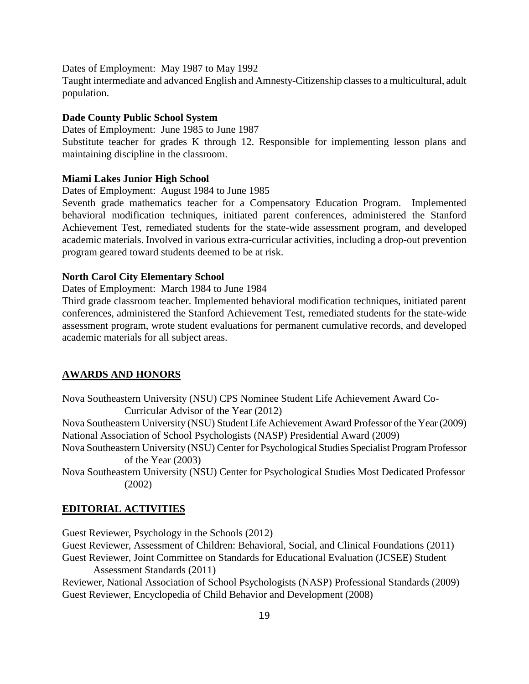Dates of Employment: May 1987 to May 1992

Taught intermediate and advanced English and Amnesty-Citizenship classes to a multicultural, adult population.

### **Dade County Public School System**

Dates of Employment: June 1985 to June 1987

Substitute teacher for grades K through 12. Responsible for implementing lesson plans and maintaining discipline in the classroom.

#### **Miami Lakes Junior High School**

Dates of Employment: August 1984 to June 1985

Seventh grade mathematics teacher for a Compensatory Education Program. Implemented behavioral modification techniques, initiated parent conferences, administered the Stanford Achievement Test, remediated students for the state-wide assessment program, and developed academic materials. Involved in various extra-curricular activities, including a drop-out prevention program geared toward students deemed to be at risk.

### **North Carol City Elementary School**

Dates of Employment: March 1984 to June 1984

Third grade classroom teacher. Implemented behavioral modification techniques, initiated parent conferences, administered the Stanford Achievement Test, remediated students for the state-wide assessment program, wrote student evaluations for permanent cumulative records, and developed academic materials for all subject areas.

#### **AWARDS AND HONORS**

Nova Southeastern University (NSU) CPS Nominee Student Life Achievement Award Co-Curricular Advisor of the Year (2012)

Nova Southeastern University (NSU) Student Life Achievement Award Professor of the Year (2009) National Association of School Psychologists (NASP) Presidential Award (2009)

Nova Southeastern University (NSU) Center for Psychological Studies Specialist Program Professor of the Year (2003)

Nova Southeastern University (NSU) Center for Psychological Studies Most Dedicated Professor (2002)

## **EDITORIAL ACTIVITIES**

Guest Reviewer, Psychology in the Schools (2012)

Guest Reviewer, Assessment of Children: Behavioral, Social, and Clinical Foundations (2011) Guest Reviewer, Joint Committee on Standards for Educational Evaluation (JCSEE) Student

Assessment Standards (2011)

Reviewer, National Association of School Psychologists (NASP) Professional Standards (2009) Guest Reviewer, Encyclopedia of Child Behavior and Development (2008)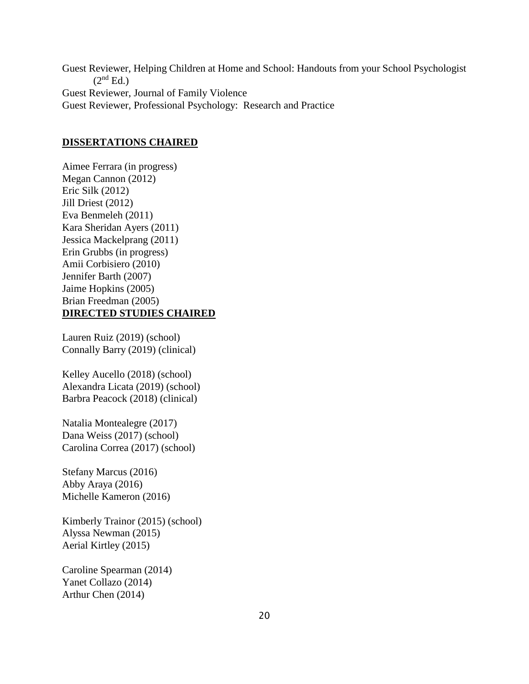Guest Reviewer, Helping Children at Home and School: Handouts from your School Psychologist  $(2<sup>nd</sup> Ed.)$ Guest Reviewer, Journal of Family Violence Guest Reviewer, Professional Psychology: Research and Practice

## **DISSERTATIONS CHAIRED**

Aimee Ferrara (in progress) Megan Cannon (2012) Eric Silk (2012) Jill Driest (2012) Eva Benmeleh (2011) Kara Sheridan Ayers (2011) Jessica Mackelprang (2011) Erin Grubbs (in progress) Amii Corbisiero (2010) Jennifer Barth (2007) Jaime Hopkins (2005) Brian Freedman (2005) **DIRECTED STUDIES CHAIRED**

Lauren Ruiz (2019) (school) Connally Barry (2019) (clinical)

Kelley Aucello (2018) (school) Alexandra Licata (2019) (school) Barbra Peacock (2018) (clinical)

Natalia Montealegre (2017) Dana Weiss (2017) (school) Carolina Correa (2017) (school)

Stefany Marcus (2016) Abby Araya (2016) Michelle Kameron (2016)

Kimberly Trainor (2015) (school) Alyssa Newman (2015) Aerial Kirtley (2015)

Caroline Spearman (2014) Yanet Collazo (2014) Arthur Chen (2014)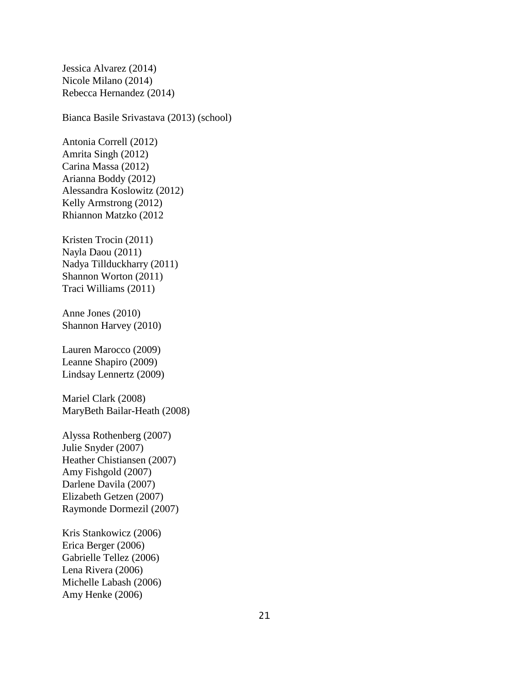Jessica Alvarez (2014) Nicole Milano (2014) Rebecca Hernandez (2014)

Bianca Basile Srivastava (2013) (school)

Antonia Correll (2012) Amrita Singh (2012) Carina Massa (2012) Arianna Boddy (2012) Alessandra Koslowitz (2012) Kelly Armstrong (2012) Rhiannon Matzko (2012

Kristen Trocin (2011) Nayla Daou (2011) Nadya Tillduckharry (2011) Shannon Worton (2011) Traci Williams (2011)

Anne Jones (2010) Shannon Harvey (2010)

Lauren Marocco (2009) Leanne Shapiro (2009) Lindsay Lennertz (2009)

Mariel Clark (2008) MaryBeth Bailar-Heath (2008)

Alyssa Rothenberg (2007) Julie Snyder (2007) Heather Chistiansen (2007) Amy Fishgold (2007) Darlene Davila (2007) Elizabeth Getzen (2007) Raymonde Dormezil (2007)

Kris Stankowicz (2006) Erica Berger (2006) Gabrielle Tellez (2006) Lena Rivera (2006) Michelle Labash (2006) Amy Henke (2006)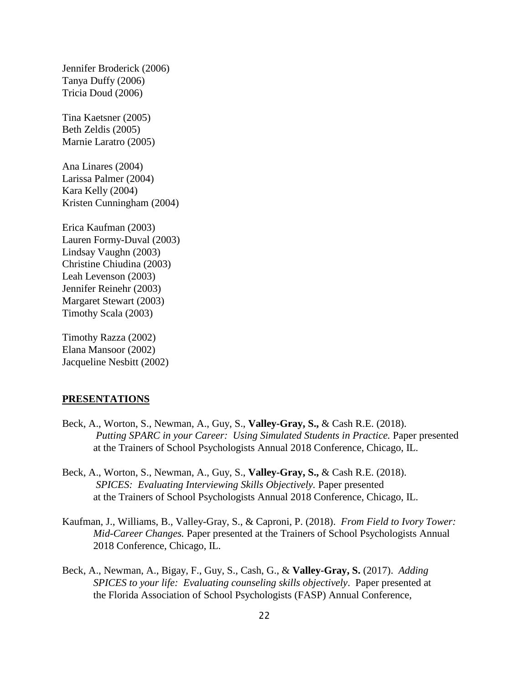Jennifer Broderick (2006) Tanya Duffy (2006) Tricia Doud (2006)

Tina Kaetsner (2005) Beth Zeldis (2005) Marnie Laratro (2005)

Ana Linares (2004) Larissa Palmer (2004) Kara Kelly (2004) Kristen Cunningham (2004)

Erica Kaufman (2003) Lauren Formy-Duval (2003) Lindsay Vaughn (2003) Christine Chiudina (2003) Leah Levenson (2003) Jennifer Reinehr (2003) Margaret Stewart (2003) Timothy Scala (2003)

Timothy Razza (2002) Elana Mansoor (2002) Jacqueline Nesbitt (2002)

# **PRESENTATIONS**

- Beck, A., Worton, S., Newman, A., Guy, S., **Valley-Gray, S.,** & Cash R.E. (2018). *Putting SPARC in your Career: Using Simulated Students in Practice. Paper presented* at the Trainers of School Psychologists Annual 2018 Conference, Chicago, IL.
- Beck, A., Worton, S., Newman, A., Guy, S., **Valley-Gray, S.,** & Cash R.E. (2018). *SPICES: Evaluating Interviewing Skills Objectively. Paper presented* at the Trainers of School Psychologists Annual 2018 Conference, Chicago, IL.
- Kaufman, J., Williams, B., Valley-Gray, S., & Caproni, P. (2018). *From Field to Ivory Tower: Mid-Career Changes.* Paper presented at the Trainers of School Psychologists Annual 2018 Conference, Chicago, IL.
- Beck, A., Newman, A., Bigay, F., Guy, S., Cash, G., & **Valley-Gray, S.** (2017). *Adding SPICES to your life: Evaluating counseling skills objectively*. Paper presented at the Florida Association of School Psychologists (FASP) Annual Conference,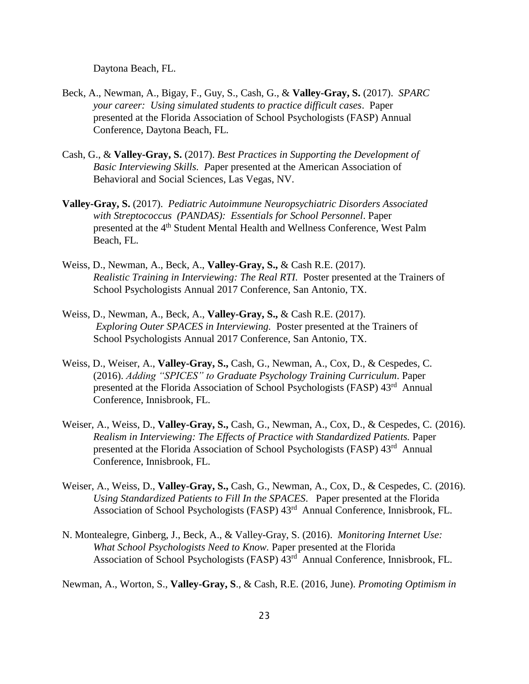Daytona Beach, FL.

- Beck, A., Newman, A., Bigay, F., Guy, S., Cash, G., & **Valley-Gray, S.** (2017). *SPARC your career: Using simulated students to practice difficult cases*. Paper presented at the Florida Association of School Psychologists (FASP) Annual Conference, Daytona Beach, FL.
- Cash, G., & **Valley-Gray, S.** (2017). *Best Practices in Supporting the Development of Basic Interviewing Skills. P*aper presented at the American Association of Behavioral and Social Sciences, Las Vegas, NV.
- **Valley-Gray, S.** (2017). *Pediatric Autoimmune Neuropsychiatric Disorders Associated with Streptococcus (PANDAS): Essentials for School Personnel*. Paper presented at the 4<sup>th</sup> Student Mental Health and Wellness Conference, West Palm Beach, FL.
- Weiss, D., Newman, A., Beck, A., **Valley-Gray, S.,** & Cash R.E. (2017). *Realistic Training in Interviewing: The Real RTI.* Poster presented at the Trainers of School Psychologists Annual 2017 Conference, San Antonio, TX.
- Weiss, D., Newman, A., Beck, A., **Valley-Gray, S.,** & Cash R.E. (2017). *Exploring Outer SPACES in Interviewing.* Poster presented at the Trainers of School Psychologists Annual 2017 Conference, San Antonio, TX.
- Weiss, D., Weiser, A., **Valley-Gray, S.,** Cash, G., Newman, A., Cox, D., & Cespedes, C. (2016). *Adding "SPICES" to Graduate Psychology Training Curriculum*. Paper presented at the Florida Association of School Psychologists (FASP) 43<sup>rd</sup> Annual Conference, Innisbrook, FL.
- Weiser, A., Weiss, D., **Valley-Gray, S.,** Cash, G., Newman, A., Cox, D., & Cespedes, C. (2016). *Realism in Interviewing: The Effects of Practice with Standardized Patients.* Paper presented at the Florida Association of School Psychologists (FASP) 43<sup>rd</sup> Annual Conference, Innisbrook, FL.
- Weiser, A., Weiss, D., **Valley-Gray, S.,** Cash, G., Newman, A., Cox, D., & Cespedes, C. (2016). *Using Standardized Patients to Fill In the SPACES*. Paper presented at the Florida Association of School Psychologists (FASP) 43<sup>rd</sup> Annual Conference, Innisbrook, FL.
- N. Montealegre, Ginberg, J., Beck, A., & Valley-Gray, S. (2016). *Monitoring Internet Use: What School Psychologists Need to Know.* Paper presented at the Florida Association of School Psychologists (FASP) 43<sup>rd</sup> Annual Conference, Innisbrook, FL.

Newman, A., Worton, S., **Valley-Gray, S**., & Cash, R.E. (2016, June). *Promoting Optimism in*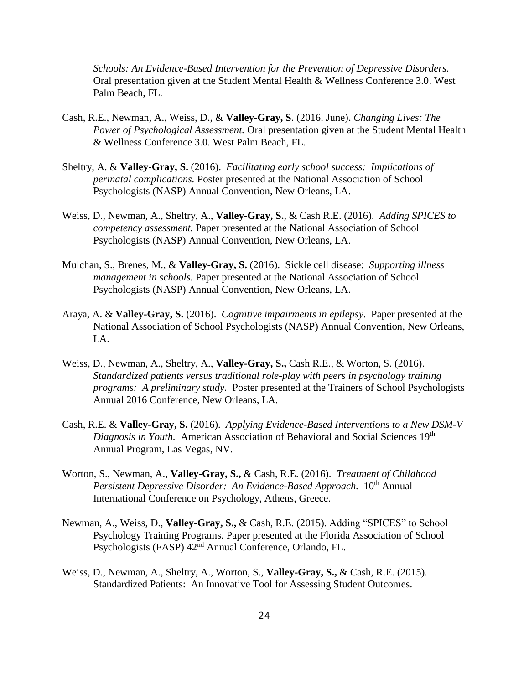*Schools: An Evidence-Based Intervention for the Prevention of Depressive Disorders.*  Oral presentation given at the Student Mental Health & Wellness Conference 3.0. West Palm Beach, FL.

- Cash, R.E., Newman, A., Weiss, D., & **Valley-Gray, S**. (2016. June). *Changing Lives: The Power of Psychological Assessment.* Oral presentation given at the Student Mental Health & Wellness Conference 3.0. West Palm Beach, FL.
- Sheltry, A. & **Valley-Gray, S.** (2016). *Facilitating early school success: Implications of perinatal complications.* Poster presented at the National Association of School Psychologists (NASP) Annual Convention, New Orleans, LA.
- Weiss, D., Newman, A., Sheltry, A., **Valley-Gray, S.**, & Cash R.E. (2016). *Adding SPICES to competency assessment.* Paper presented at the National Association of School Psychologists (NASP) Annual Convention, New Orleans, LA.
- Mulchan, S., Brenes, M., & **Valley-Gray, S.** (2016). Sickle cell disease: *Supporting illness management in schools.* Paper presented at the National Association of School Psychologists (NASP) Annual Convention, New Orleans, LA.
- Araya, A. & **Valley-Gray, S.** (2016). *Cognitive impairments in epilepsy*. Paper presented at the National Association of School Psychologists (NASP) Annual Convention, New Orleans, LA.
- Weiss, D., Newman, A., Sheltry, A., **Valley-Gray, S.,** Cash R.E., & Worton, S. (2016). *Standardized patients versus traditional role-play with peers in psychology training programs: A preliminary study.* Poster presented at the Trainers of School Psychologists Annual 2016 Conference, New Orleans, LA.
- Cash, R.E. & **Valley-Gray, S.** (2016). *Applying Evidence-Based Interventions to a New DSM-V Diagnosis in Youth.* American Association of Behavioral and Social Sciences 19<sup>th</sup> Annual Program, Las Vegas, NV.
- Worton, S., Newman, A., **Valley-Gray, S.,** & Cash, R.E. (2016). *Treatment of Childhood Persistent Depressive Disorder: An Evidence-Based Approach.* 10<sup>th</sup> Annual International Conference on Psychology, Athens, Greece.
- Newman, A., Weiss, D., **Valley-Gray, S.,** & Cash, R.E. (2015). Adding "SPICES" to School Psychology Training Programs. Paper presented at the Florida Association of School Psychologists (FASP) 42nd Annual Conference, Orlando, FL.
- Weiss, D., Newman, A., Sheltry, A., Worton, S., **Valley-Gray, S.,** & Cash, R.E. (2015). Standardized Patients: An Innovative Tool for Assessing Student Outcomes.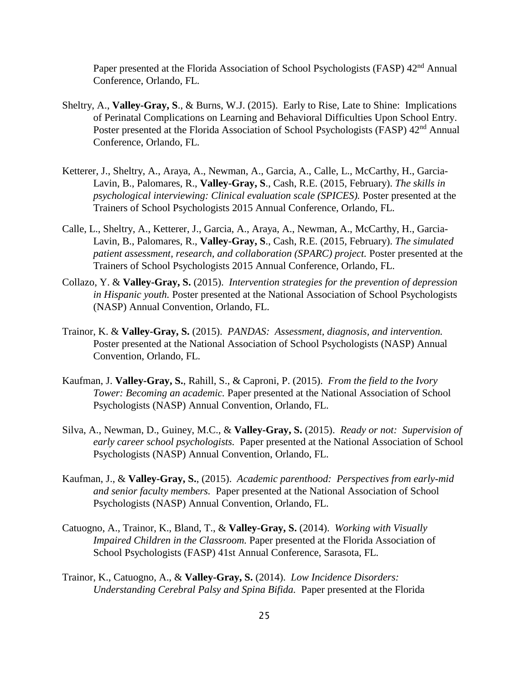Paper presented at the Florida Association of School Psychologists (FASP) 42<sup>nd</sup> Annual Conference, Orlando, FL.

- Sheltry, A., **Valley-Gray, S**., & Burns, W.J. (2015). Early to Rise, Late to Shine: Implications of Perinatal Complications on Learning and Behavioral Difficulties Upon School Entry. Poster presented at the Florida Association of School Psychologists (FASP) 42<sup>nd</sup> Annual Conference, Orlando, FL.
- Ketterer, J., Sheltry, A., Araya, A., Newman, A., Garcia, A., Calle, L., McCarthy, H., Garcia-Lavin, B., Palomares, R., **Valley-Gray, S**., Cash, R.E. (2015, February). *The skills in psychological interviewing: Clinical evaluation scale (SPICES).* Poster presented at the Trainers of School Psychologists 2015 Annual Conference, Orlando, FL.
- Calle, L., Sheltry, A., Ketterer, J., Garcia, A., Araya, A., Newman, A., McCarthy, H., Garcia-Lavin, B., Palomares, R., **Valley-Gray, S**., Cash, R.E. (2015, February). *The simulated patient assessment, research, and collaboration (SPARC) project.* Poster presented at the Trainers of School Psychologists 2015 Annual Conference, Orlando, FL.
- Collazo, Y. & **Valley-Gray, S.** (2015). *Intervention strategies for the prevention of depression in Hispanic youth.* Poster presented at the National Association of School Psychologists (NASP) Annual Convention, Orlando, FL.
- Trainor, K. & **Valley-Gray, S.** (2015). *PANDAS: Assessment, diagnosis, and intervention.* Poster presented at the National Association of School Psychologists (NASP) Annual Convention, Orlando, FL.
- Kaufman, J. **Valley-Gray, S.**, Rahill, S., & Caproni, P. (2015). *From the field to the Ivory Tower: Becoming an academic.* Paper presented at the National Association of School Psychologists (NASP) Annual Convention, Orlando, FL.
- Silva, A., Newman, D., Guiney, M.C., & **Valley-Gray, S.** (2015). *Ready or not: Supervision of early career school psychologists.* Paper presented at the National Association of School Psychologists (NASP) Annual Convention, Orlando, FL.
- Kaufman, J., & **Valley-Gray, S.**, (2015). *Academic parenthood: Perspectives from early-mid and senior faculty members.* Paper presented at the National Association of School Psychologists (NASP) Annual Convention, Orlando, FL.
- Catuogno, A., Trainor, K., Bland, T., & **Valley-Gray, S.** (2014). *Working with Visually Impaired Children in the Classroom.* Paper presented at the Florida Association of School Psychologists (FASP) 41st Annual Conference, Sarasota, FL.
- Trainor, K., Catuogno, A., & **Valley-Gray, S.** (2014). *Low Incidence Disorders: Understanding Cerebral Palsy and Spina Bifida.* Paper presented at the Florida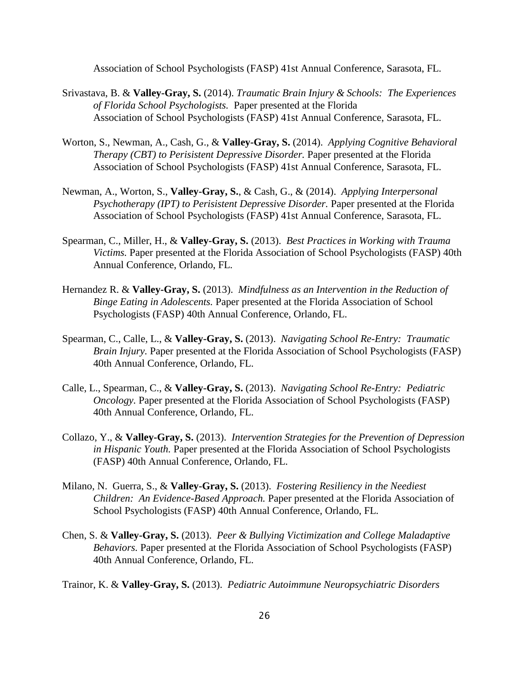Association of School Psychologists (FASP) 41st Annual Conference, Sarasota, FL.

- Srivastava, B. & **Valley-Gray, S.** (2014). *Traumatic Brain Injury & Schools: The Experiences of Florida School Psychologists.* Paper presented at the Florida Association of School Psychologists (FASP) 41st Annual Conference, Sarasota, FL.
- Worton, S., Newman, A., Cash, G., & **Valley-Gray, S.** (2014). *Applying Cognitive Behavioral Therapy (CBT) to Perisistent Depressive Disorder.* Paper presented at the Florida Association of School Psychologists (FASP) 41st Annual Conference, Sarasota, FL.
- Newman, A., Worton, S., **Valley-Gray, S.**, & Cash, G., & (2014). *Applying Interpersonal Psychotherapy (IPT) to Perisistent Depressive Disorder.* Paper presented at the Florida Association of School Psychologists (FASP) 41st Annual Conference, Sarasota, FL.
- Spearman, C., Miller, H., & **Valley-Gray, S.** (2013). *Best Practices in Working with Trauma Victims.* Paper presented at the Florida Association of School Psychologists (FASP) 40th Annual Conference, Orlando, FL.
- Hernandez R. & **Valley-Gray, S.** (2013). *Mindfulness as an Intervention in the Reduction of Binge Eating in Adolescents.* Paper presented at the Florida Association of School Psychologists (FASP) 40th Annual Conference, Orlando, FL.
- Spearman, C., Calle, L., & **Valley-Gray, S.** (2013). *Navigating School Re-Entry: Traumatic Brain Injury.* Paper presented at the Florida Association of School Psychologists (FASP) 40th Annual Conference, Orlando, FL.
- Calle, L., Spearman, C., & **Valley-Gray, S.** (2013). *Navigating School Re-Entry: Pediatric Oncology*. Paper presented at the Florida Association of School Psychologists (FASP) 40th Annual Conference, Orlando, FL.
- Collazo, Y., & **Valley-Gray, S.** (2013). *Intervention Strategies for the Prevention of Depression in Hispanic Youth.* Paper presented at the Florida Association of School Psychologists (FASP) 40th Annual Conference, Orlando, FL.
- Milano, N. Guerra, S., & **Valley-Gray, S.** (2013). *Fostering Resiliency in the Neediest Children: An Evidence-Based Approach.* Paper presented at the Florida Association of School Psychologists (FASP) 40th Annual Conference, Orlando, FL.
- Chen, S. & **Valley-Gray, S.** (2013). *Peer & Bullying Victimization and College Maladaptive Behaviors.* Paper presented at the Florida Association of School Psychologists (FASP) 40th Annual Conference, Orlando, FL.
- Trainor, K. & **Valley-Gray, S.** (2013). *Pediatric Autoimmune Neuropsychiatric Disorders*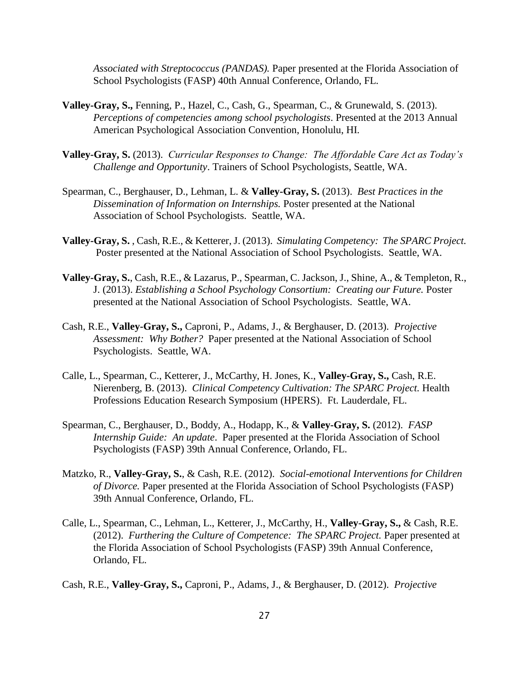*Associated with Streptococcus (PANDAS).* Paper presented at the Florida Association of School Psychologists (FASP) 40th Annual Conference, Orlando, FL.

- **Valley-Gray, S.,** Fenning, P., Hazel, C., Cash, G., Spearman, C., & Grunewald, S. (2013). *Perceptions of competencies among school psychologists*. Presented at the 2013 Annual American Psychological Association Convention, Honolulu, HI.
- **Valley-Gray, S.** (2013). *Curricular Responses to Change: The Affordable Care Act as Today's Challenge and Opportunity*. Trainers of School Psychologists, Seattle, WA.
- Spearman, C., Berghauser, D., Lehman, L. & **Valley-Gray, S.** (2013). *Best Practices in the Dissemination of Information on Internships.* Poster presented at the National Association of School Psychologists. Seattle, WA.
- **Valley-Gray, S.** , Cash, R.E., & Ketterer, J. (2013). *Simulating Competency: The SPARC Project.* Poster presented at the National Association of School Psychologists. Seattle, WA.
- **Valley-Gray, S.**, Cash, R.E., & Lazarus, P., Spearman, C. Jackson, J., Shine, A., & Templeton, R., J. (2013). *Establishing a School Psychology Consortium: Creating our Future.* Poster presented at the National Association of School Psychologists. Seattle, WA.
- Cash, R.E., **Valley-Gray, S.,** Caproni, P., Adams, J., & Berghauser, D. (2013). *Projective Assessment: Why Bother?* Paper presented at the National Association of School Psychologists. Seattle, WA.
- Calle, L., Spearman, C., Ketterer, J., McCarthy, H. Jones, K., **Valley-Gray, S.,** Cash, R.E. Nierenberg, B. (2013). *Clinical Competency Cultivation: The SPARC Project.* Health Professions Education Research Symposium (HPERS). Ft. Lauderdale, FL.
- Spearman, C., Berghauser, D., Boddy, A., Hodapp, K., & **Valley-Gray, S.** (2012). *FASP Internship Guide: An update*. Paper presented at the Florida Association of School Psychologists (FASP) 39th Annual Conference, Orlando, FL.
- Matzko, R., **Valley-Gray, S.**, & Cash, R.E. (2012). *Social-emotional Interventions for Children of Divorce.* Paper presented at the Florida Association of School Psychologists (FASP) 39th Annual Conference, Orlando, FL.
- Calle, L., Spearman, C., Lehman, L., Ketterer, J., McCarthy, H., **Valley-Gray, S.,** & Cash, R.E. (2012). *Furthering the Culture of Competence: The SPARC Project.* Paper presented at the Florida Association of School Psychologists (FASP) 39th Annual Conference, Orlando, FL.
- Cash, R.E., **Valley-Gray, S.,** Caproni, P., Adams, J., & Berghauser, D. (2012). *Projective*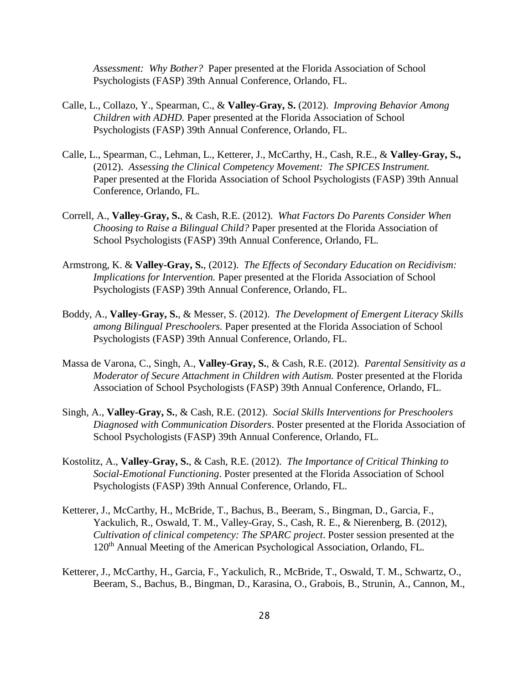*Assessment: Why Bother?* Paper presented at the Florida Association of School Psychologists (FASP) 39th Annual Conference, Orlando, FL.

- Calle, L., Collazo, Y., Spearman, C., & **Valley-Gray, S.** (2012). *Improving Behavior Among Children with ADHD.* Paper presented at the Florida Association of School Psychologists (FASP) 39th Annual Conference, Orlando, FL.
- Calle, L., Spearman, C., Lehman, L., Ketterer, J., McCarthy, H., Cash, R.E., & **Valley-Gray, S.,**  (2012). *Assessing the Clinical Competency Movement: The SPICES Instrument.*  Paper presented at the Florida Association of School Psychologists (FASP) 39th Annual Conference, Orlando, FL.
- Correll, A., **Valley-Gray, S.**, & Cash, R.E. (2012). *What Factors Do Parents Consider When Choosing to Raise a Bilingual Child?* Paper presented at the Florida Association of School Psychologists (FASP) 39th Annual Conference, Orlando, FL.
- Armstrong, K. & **Valley-Gray, S.**, (2012). *The Effects of Secondary Education on Recidivism: Implications for Intervention.* Paper presented at the Florida Association of School Psychologists (FASP) 39th Annual Conference, Orlando, FL.
- Boddy, A., **Valley-Gray, S.**, & Messer, S. (2012). *The Development of Emergent Literacy Skills among Bilingual Preschoolers.* Paper presented at the Florida Association of School Psychologists (FASP) 39th Annual Conference, Orlando, FL.
- Massa de Varona, C., Singh, A., **Valley-Gray, S.**, & Cash, R.E. (2012). *Parental Sensitivity as a Moderator of Secure Attachment in Children with Autism.* Poster presented at the Florida Association of School Psychologists (FASP) 39th Annual Conference, Orlando, FL.
- Singh, A., **Valley-Gray, S.**, & Cash, R.E. (2012). *Social Skills Interventions for Preschoolers Diagnosed with Communication Disorders*. Poster presented at the Florida Association of School Psychologists (FASP) 39th Annual Conference, Orlando, FL.
- Kostolitz, A., **Valley-Gray, S.**, & Cash, R.E. (2012). *The Importance of Critical Thinking to Social-Emotional Functioning*. Poster presented at the Florida Association of School Psychologists (FASP) 39th Annual Conference, Orlando, FL.
- Ketterer, J., McCarthy, H., McBride, T., Bachus, B., Beeram, S., Bingman, D., Garcia, F., Yackulich, R., Oswald, T. M., Valley-Gray, S., Cash, R. E., & Nierenberg, B. (2012), *Cultivation of clinical competency: The SPARC project*. Poster session presented at the 120th Annual Meeting of the American Psychological Association, Orlando, FL.
- Ketterer, J., McCarthy, H., Garcia, F., Yackulich, R., McBride, T., Oswald, T. M., Schwartz, O., Beeram, S., Bachus, B., Bingman, D., Karasina, O., Grabois, B., Strunin, A., Cannon, M.,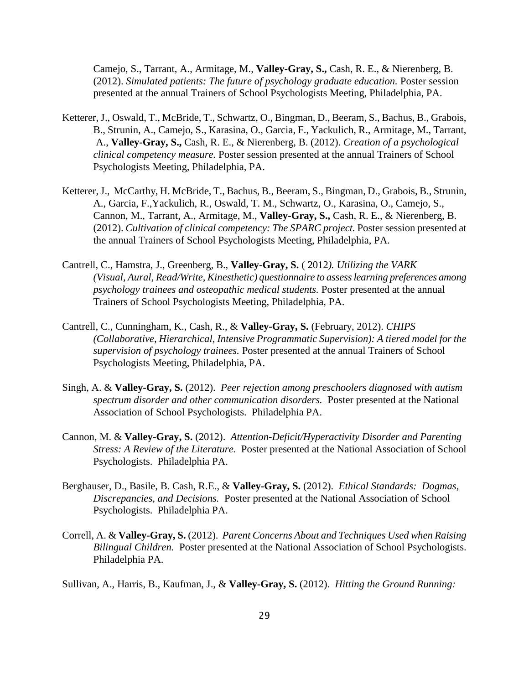Camejo, S., Tarrant, A., Armitage, M., **Valley-Gray, S.,** Cash, R. E., & Nierenberg, B. (2012). *Simulated patients: The future of psychology graduate education.* Poster session presented at the annual Trainers of School Psychologists Meeting, Philadelphia, PA.

- Ketterer, J., Oswald, T., McBride, T., Schwartz, O., Bingman, D., Beeram, S., Bachus, B., Grabois, B., Strunin, A., Camejo, S., Karasina, O., Garcia, F., Yackulich, R., Armitage, M., Tarrant, A., **Valley-Gray, S.,** Cash, R. E., & Nierenberg, B. (2012). *Creation of a psychological clinical competency measure.* Poster session presented at the annual Trainers of School Psychologists Meeting, Philadelphia, PA.
- Ketterer, J., McCarthy, H. McBride, T., Bachus, B., Beeram, S., Bingman, D., Grabois, B., Strunin, A., Garcia, F.,Yackulich, R., Oswald, T. M., Schwartz, O., Karasina, O., Camejo, S., Cannon, M., Tarrant, A., Armitage, M., **Valley-Gray, S.,** Cash, R. E., & Nierenberg, B. (2012). *Cultivation of clinical competency: The SPARC project.* Poster session presented at the annual Trainers of School Psychologists Meeting, Philadelphia, PA.
- Cantrell, C., Hamstra, J., Greenberg, B., **Valley-Gray, S.** ( 2012*). Utilizing the VARK (Visual, Aural, Read/Write, Kinesthetic) questionnaire to assess learning preferences among psychology trainees and osteopathic medical students.* Poster presented at the annual Trainers of School Psychologists Meeting, Philadelphia, PA.
- Cantrell, C., Cunningham, K., Cash, R., & **Valley-Gray, S.** (February, 2012). *CHIPS (Collaborative, Hierarchical, Intensive Programmatic Supervision): A tiered model for the supervision of psychology trainees.* Poster presented at the annual Trainers of School Psychologists Meeting, Philadelphia, PA.
- Singh, A. & **Valley-Gray, S.** (2012). *Peer rejection among preschoolers diagnosed with autism spectrum disorder and other communication disorders.* Poster presented at the National Association of School Psychologists. Philadelphia PA.
- Cannon, M. & **Valley-Gray, S.** (2012). *Attention-Deficit/Hyperactivity Disorder and Parenting Stress: A Review of the Literature.* Poster presented at the National Association of School Psychologists. Philadelphia PA.
- Berghauser, D., Basile, B. Cash, R.E., & **Valley-Gray, S.** (2012). *Ethical Standards: Dogmas, Discrepancies, and Decisions.* Poster presented at the National Association of School Psychologists. Philadelphia PA.
- Correll, A. & **Valley-Gray, S.** (2012). *Parent Concerns About and Techniques Used when Raising Bilingual Children.* Poster presented at the National Association of School Psychologists. Philadelphia PA.
- Sullivan, A., Harris, B., Kaufman, J., & **Valley-Gray, S.** (2012). *Hitting the Ground Running:*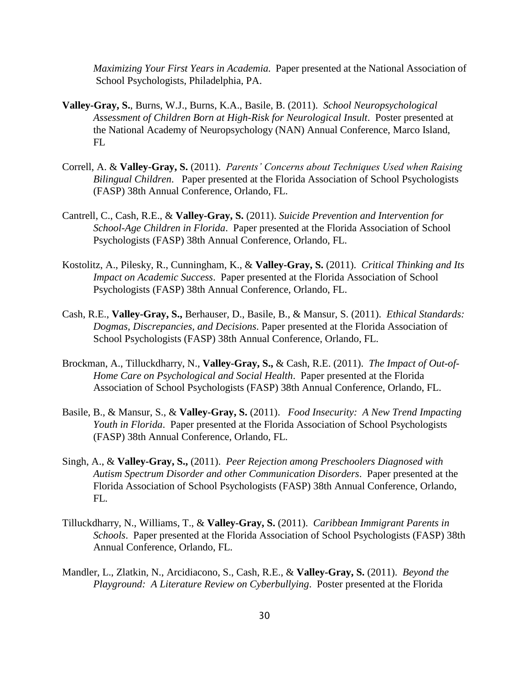*Maximizing Your First Years in Academia.* Paper presented at the National Association of School Psychologists, Philadelphia, PA.

- **Valley-Gray, S.**, Burns, W.J., Burns, K.A., Basile, B. (2011). *School Neuropsychological Assessment of Children Born at High-Risk for Neurological Insult*. Poster presented at the National Academy of Neuropsychology (NAN) Annual Conference, Marco Island, FL
- Correll, A. & **Valley-Gray, S.** (2011). *Parents' Concerns about Techniques Used when Raising Bilingual Children*. Paper presented at the Florida Association of School Psychologists (FASP) 38th Annual Conference, Orlando, FL.
- Cantrell, C., Cash, R.E., & **Valley-Gray, S.** (2011). *Suicide Prevention and Intervention for School-Age Children in Florida*. Paper presented at the Florida Association of School Psychologists (FASP) 38th Annual Conference, Orlando, FL.
- Kostolitz, A., Pilesky, R., Cunningham, K., & **Valley-Gray, S.** (2011). *Critical Thinking and Its Impact on Academic Success*. Paper presented at the Florida Association of School Psychologists (FASP) 38th Annual Conference, Orlando, FL.
- Cash, R.E., **Valley-Gray, S.,** Berhauser, D., Basile, B., & Mansur, S. (2011). *Ethical Standards: Dogmas, Discrepancies, and Decisions*. Paper presented at the Florida Association of School Psychologists (FASP) 38th Annual Conference, Orlando, FL.
- Brockman, A., Tilluckdharry, N., **Valley-Gray, S.,** & Cash, R.E. (2011). *The Impact of Out-of-Home Care on Psychological and Social Health*. Paper presented at the Florida Association of School Psychologists (FASP) 38th Annual Conference, Orlando, FL.
- Basile, B., & Mansur, S., & **Valley-Gray, S.** (2011). *Food Insecurity: A New Trend Impacting Youth in Florida*. Paper presented at the Florida Association of School Psychologists (FASP) 38th Annual Conference, Orlando, FL.
- Singh, A., & **Valley-Gray, S.,** (2011). *Peer Rejection among Preschoolers Diagnosed with Autism Spectrum Disorder and other Communication Disorders*. Paper presented at the Florida Association of School Psychologists (FASP) 38th Annual Conference, Orlando, FL.
- Tilluckdharry, N., Williams, T., & **Valley-Gray, S.** (2011). *Caribbean Immigrant Parents in Schools*. Paper presented at the Florida Association of School Psychologists (FASP) 38th Annual Conference, Orlando, FL.
- Mandler, L., Zlatkin, N., Arcidiacono, S., Cash, R.E., & **Valley-Gray, S.** (2011). *Beyond the Playground: A Literature Review on Cyberbullying*. Poster presented at the Florida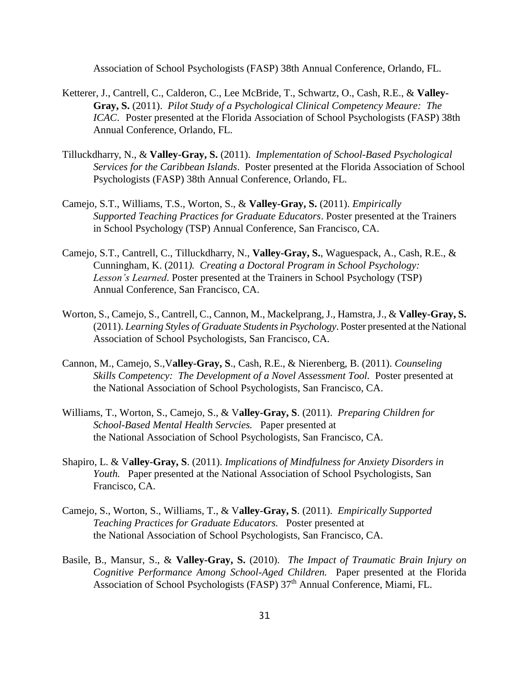Association of School Psychologists (FASP) 38th Annual Conference, Orlando, FL.

- Ketterer, J., Cantrell, C., Calderon, C., Lee McBride, T., Schwartz, O., Cash, R.E., & **Valley-Gray, S.** (2011). *Pilot Study of a Psychological Clinical Competency Meaure: The ICAC*. Poster presented at the Florida Association of School Psychologists (FASP) 38th Annual Conference, Orlando, FL.
- Tilluckdharry, N., & **Valley-Gray, S.** (2011). *Implementation of School-Based Psychological Services for the Caribbean Islands*. Poster presented at the Florida Association of School Psychologists (FASP) 38th Annual Conference, Orlando, FL.
- Camejo, S.T., Williams, T.S., Worton, S., & **Valley-Gray, S.** (2011). *Empirically Supported Teaching Practices for Graduate Educators*. Poster presented at the Trainers in School Psychology (TSP) Annual Conference, San Francisco, CA.
- Camejo, S.T., Cantrell, C., Tilluckdharry, N., **Valley-Gray, S.**, Waguespack, A., Cash, R.E., & Cunningham, K. (2011*). Creating a Doctoral Program in School Psychology: Lesson's Learned*. Poster presented at the Trainers in School Psychology (TSP) Annual Conference, San Francisco, CA.
- Worton, S., Camejo, S., Cantrell, C., Cannon, M., Mackelprang, J., Hamstra, J., & **Valley-Gray, S.** (2011). *Learning Styles of Graduate Students in Psychology*. Poster presented at the National Association of School Psychologists, San Francisco, CA.
- Cannon, M., Camejo, S.,V**alley-Gray, S**., Cash, R.E., & Nierenberg, B. (2011). *Counseling Skills Competency: The Development of a Novel Assessment Tool. Poster presented at* the National Association of School Psychologists, San Francisco, CA.
- Williams, T., Worton, S., Camejo, S., & V**alley-Gray, S**. (2011). *Preparing Children for School-Based Mental Health Servcies.* Paper presented at the National Association of School Psychologists, San Francisco, CA.
- Shapiro, L. & V**alley-Gray, S**. (2011). *Implications of Mindfulness for Anxiety Disorders in Youth.* Paper presented at the National Association of School Psychologists, San Francisco, CA.
- Camejo, S., Worton, S., Williams, T., & V**alley-Gray, S**. (2011). *Empirically Supported Teaching Practices for Graduate Educators.* Poster presented at the National Association of School Psychologists, San Francisco, CA.
- Basile, B., Mansur, S., & **Valley-Gray, S.** (2010). *The Impact of Traumatic Brain Injury on Cognitive Performance Among School-Aged Children.* Paper presented at the Florida Association of School Psychologists (FASP) 37<sup>th</sup> Annual Conference, Miami, FL.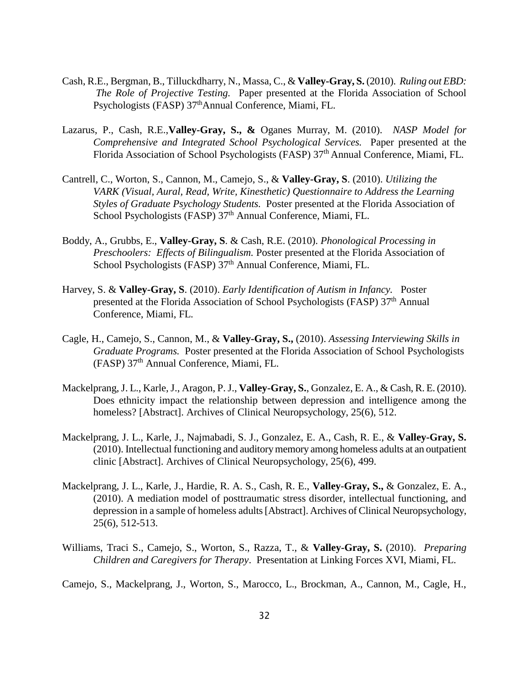- Cash, R.E., Bergman, B., Tilluckdharry, N., Massa, C., & **Valley-Gray, S.** (2010). *Ruling out EBD: The Role of Projective Testing.* Paper presented at the Florida Association of School Psychologists (FASP) 37<sup>th</sup>Annual Conference, Miami, FL.
- Lazarus, P., Cash, R.E.,**Valley-Gray, S., &** Oganes Murray, M. (2010). *NASP Model for Comprehensive and Integrated School Psychological Services.* Paper presented at the Florida Association of School Psychologists (FASP) 37<sup>th</sup> Annual Conference, Miami, FL.
- Cantrell, C., Worton, S., Cannon, M., Camejo, S., & **Valley-Gray, S**. (2010). *Utilizing the VARK (Visual, Aural, Read, Write, Kinesthetic) Questionnaire to Address the Learning Styles of Graduate Psychology Students.* Poster presented at the Florida Association of School Psychologists (FASP) 37<sup>th</sup> Annual Conference, Miami, FL.
- Boddy, A., Grubbs, E., **Valley-Gray, S**. & Cash, R.E. (2010). *Phonological Processing in Preschoolers: Effects of Bilingualism.* Poster presented at the Florida Association of School Psychologists (FASP)  $37<sup>th</sup>$  Annual Conference, Miami, FL.
- Harvey, S. & **Valley-Gray, S**. (2010). *Early Identification of Autism in Infancy.* Poster presented at the Florida Association of School Psychologists (FASP) 37<sup>th</sup> Annual Conference, Miami, FL.
- Cagle, H., Camejo, S., Cannon, M., & **Valley-Gray, S.,** (2010). *Assessing Interviewing Skills in Graduate Programs.* Poster presented at the Florida Association of School Psychologists (FASP) 37th Annual Conference, Miami, FL.
- Mackelprang, J. L., Karle, J., Aragon, P. J., **Valley-Gray, S.**, Gonzalez, E. A., & Cash, R. E. (2010). Does ethnicity impact the relationship between depression and intelligence among the homeless? [Abstract]. Archives of Clinical Neuropsychology, 25(6), 512.
- Mackelprang, J. L., Karle, J., Najmabadi, S. J., Gonzalez, E. A., Cash, R. E., & **Valley-Gray, S.** (2010). Intellectual functioning and auditory memory among homeless adults at an outpatient clinic [Abstract]. Archives of Clinical Neuropsychology, 25(6), 499.
- Mackelprang, J. L., Karle, J., Hardie, R. A. S., Cash, R. E., **Valley-Gray, S.,** & Gonzalez, E. A., (2010). A mediation model of posttraumatic stress disorder, intellectual functioning, and depression in a sample of homeless adults [Abstract]. Archives of Clinical Neuropsychology, 25(6), 512-513.
- Williams, Traci S., Camejo, S., Worton, S., Razza, T., & **Valley-Gray, S.** (2010). *Preparing Children and Caregivers for Therapy*. Presentation at Linking Forces XVI, Miami, FL.
- Camejo, S., Mackelprang, J., Worton, S., Marocco, L., Brockman, A., Cannon, M., Cagle, H.,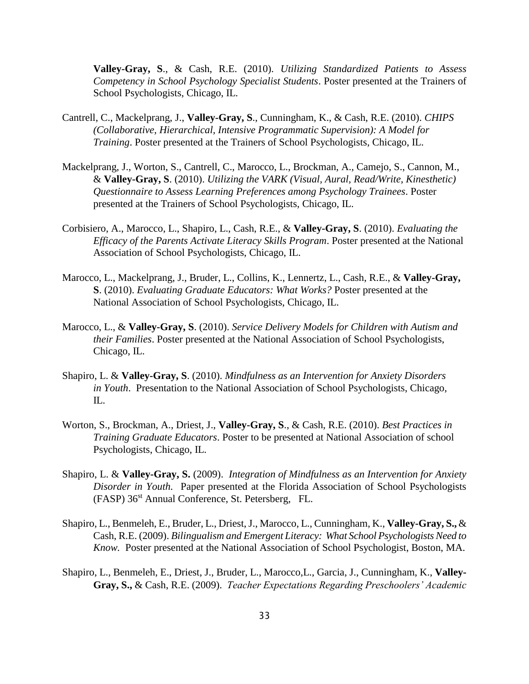**Valley-Gray, S**., & Cash, R.E. (2010). *Utilizing Standardized Patients to Assess Competency in School Psychology Specialist Students*. Poster presented at the Trainers of School Psychologists, Chicago, IL.

- Cantrell, C., Mackelprang, J., **Valley-Gray, S**., Cunningham, K., & Cash, R.E. (2010). *CHIPS (Collaborative, Hierarchical, Intensive Programmatic Supervision): A Model for Training*. Poster presented at the Trainers of School Psychologists, Chicago, IL.
- Mackelprang, J., Worton, S., Cantrell, C., Marocco, L., Brockman, A., Camejo, S., Cannon, M., & **Valley-Gray, S**. (2010). *Utilizing the VARK (Visual, Aural, Read/Write, Kinesthetic) Questionnaire to Assess Learning Preferences among Psychology Trainees*. Poster presented at the Trainers of School Psychologists, Chicago, IL.
- Corbisiero, A., Marocco, L., Shapiro, L., Cash, R.E., & **Valley-Gray, S**. (2010). *Evaluating the Efficacy of the Parents Activate Literacy Skills Program*. Poster presented at the National Association of School Psychologists, Chicago, IL.
- Marocco, L., Mackelprang, J., Bruder, L., Collins, K., Lennertz, L., Cash, R.E., & **Valley-Gray, S**. (2010). *Evaluating Graduate Educators: What Works?* Poster presented at the National Association of School Psychologists, Chicago, IL.
- Marocco, L., & **Valley-Gray, S**. (2010). *Service Delivery Models for Children with Autism and their Families*. Poster presented at the National Association of School Psychologists, Chicago, IL.
- Shapiro, L. & **Valley-Gray, S**. (2010). *Mindfulness as an Intervention for Anxiety Disorders in Youth*. Presentation to the National Association of School Psychologists, Chicago, IL.
- Worton, S., Brockman, A., Driest, J., **Valley-Gray, S**., & Cash, R.E. (2010). *Best Practices in Training Graduate Educators*. Poster to be presented at National Association of school Psychologists, Chicago, IL.
- Shapiro, L. & **Valley-Gray, S.** (2009). *Integration of Mindfulness as an Intervention for Anxiety Disorder in Youth.* Paper presented at the Florida Association of School Psychologists (FASP) 36<sup>st</sup> Annual Conference, St. Petersberg, FL.
- Shapiro, L., Benmeleh, E., Bruder, L., Driest, J., Marocco, L., Cunningham, K., **Valley-Gray, S.,** & Cash, R.E. (2009). *Bilingualism and Emergent Literacy: What School Psychologists Need to Know.* Poster presented at the National Association of School Psychologist, Boston, MA.
- Shapiro, L., Benmeleh, E., Driest, J., Bruder, L., Marocco,L., Garcia, J., Cunningham, K., **Valley-Gray, S.,** & Cash, R.E. (2009). *Teacher Expectations Regarding Preschoolers' Academic*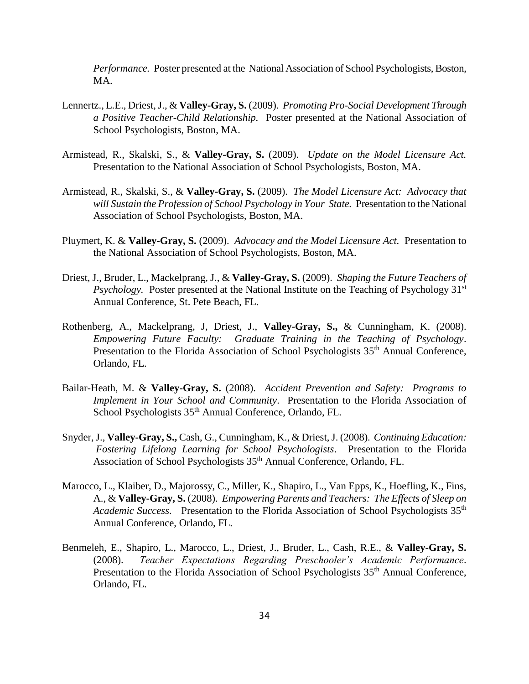*Performance.* Poster presented at the National Association of School Psychologists, Boston, MA.

- Lennertz., L.E., Driest, J., & **Valley-Gray, S.** (2009). *Promoting Pro-Social Development Through a Positive Teacher-Child Relationship.* Poster presented at the National Association of School Psychologists, Boston, MA.
- Armistead, R., Skalski, S., & **Valley-Gray, S.** (2009). *Update on the Model Licensure Act.*  Presentation to the National Association of School Psychologists, Boston, MA.
- Armistead, R., Skalski, S., & **Valley-Gray, S.** (2009). *The Model Licensure Act: Advocacy that will Sustain the Profession of School Psychology in Your State.* Presentation to the National Association of School Psychologists, Boston, MA.
- Pluymert, K. & **Valley-Gray, S.** (2009). *Advocacy and the Model Licensure Act.* Presentation to the National Association of School Psychologists, Boston, MA.
- Driest, J., Bruder, L., Mackelprang, J., & **Valley-Gray, S.** (2009). *Shaping the Future Teachers of Psychology.* Poster presented at the National Institute on the Teaching of Psychology 31<sup>st</sup> Annual Conference, St. Pete Beach, FL.
- Rothenberg, A., Mackelprang, J, Driest, J., **Valley-Gray, S.,** & Cunningham, K. (2008). *Empowering Future Faculty: Graduate Training in the Teaching of Psychology*. Presentation to the Florida Association of School Psychologists 35<sup>th</sup> Annual Conference, Orlando, FL.
- Bailar-Heath, M. & **Valley-Gray, S.** (2008). *Accident Prevention and Safety: Programs to Implement in Your School and Community*. Presentation to the Florida Association of School Psychologists 35<sup>th</sup> Annual Conference, Orlando, FL.
- Snyder, J., **Valley-Gray, S.,** Cash, G., Cunningham, K., & Driest, J. (2008). *Continuing Education: Fostering Lifelong Learning for School Psychologists*. Presentation to the Florida Association of School Psychologists 35<sup>th</sup> Annual Conference, Orlando, FL.
- Marocco, L., Klaiber, D., Majorossy, C., Miller, K., Shapiro, L., Van Epps, K., Hoefling, K., Fins, A., & **Valley-Gray, S.** (2008). *Empowering Parents and Teachers: The Effects of Sleep on*  Academic Success. Presentation to the Florida Association of School Psychologists 35<sup>th</sup> Annual Conference, Orlando, FL.
- Benmeleh, E., Shapiro, L., Marocco, L., Driest, J., Bruder, L., Cash, R.E., & **Valley-Gray, S.** (2008). *Teacher Expectations Regarding Preschooler's Academic Performance*. Presentation to the Florida Association of School Psychologists 35<sup>th</sup> Annual Conference, Orlando, FL.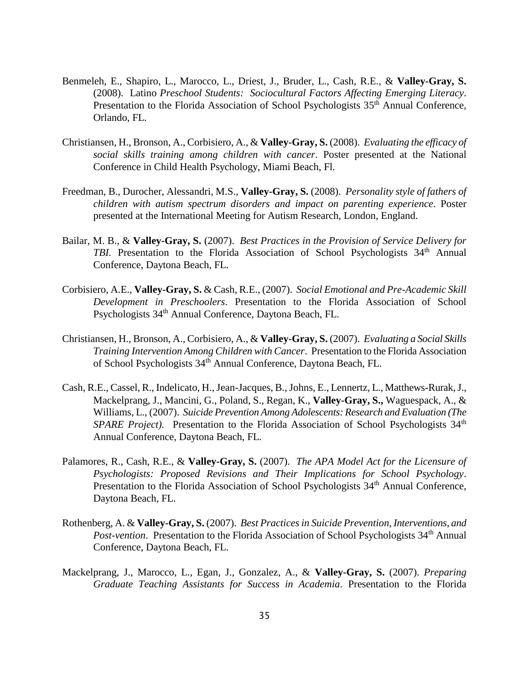- Benmeleh, E., Shapiro, L., Marocco, L., Driest, J., Bruder, L., Cash, R.E., & **Valley-Gray, S.** (2008). Latino *Preschool Students: Sociocultural Factors Affecting Emerging Literacy*. Presentation to the Florida Association of School Psychologists 35<sup>th</sup> Annual Conference, Orlando, FL.
- Christiansen, H., Bronson, A., Corbisiero, A., & **Valley-Gray, S.** (2008). *Evaluating the efficacy of social skills training among children with cancer*. Poster presented at the National Conference in Child Health Psychology, Miami Beach, Fl.
- Freedman, B., Durocher, Alessandri, M.S., **Valley-Gray, S.** (2008). *Personality style of fathers of children with autism spectrum disorders and impact on parenting experience*. Poster presented at the International Meeting for Autism Research, London, England.
- Bailar, M. B., & **Valley-Gray, S.** (2007). *Best Practices in the Provision of Service Delivery for TBI.* Presentation to the Florida Association of School Psychologists 34<sup>th</sup> Annual Conference, Daytona Beach, FL.
- Corbisiero, A.E., **Valley-Gray, S.** & Cash, R.E., (2007). *Social Emotional and Pre-Academic Skill Development in Preschoolers*. Presentation to the Florida Association of School Psychologists 34<sup>th</sup> Annual Conference, Daytona Beach, FL.
- Christiansen, H., Bronson, A., Corbisiero, A., & **Valley-Gray, S.** (2007). *Evaluating a Social Skills Training Intervention Among Children with Cancer*. Presentation to the Florida Association of School Psychologists 34th Annual Conference, Daytona Beach, FL.
- Cash, R.E., Cassel, R., Indelicato, H., Jean-Jacques, B., Johns, E., Lennertz, L., Matthews-Rurak, J., Mackelprang, J., Mancini, G., Poland, S., Regan, K., **Valley-Gray, S.,** Waguespack, A., & Williams, L., (2007). *Suicide Prevention Among Adolescents: Research and Evaluation (The SPARE Project*). Presentation to the Florida Association of School Psychologists 34<sup>th</sup> Annual Conference, Daytona Beach, FL.
- Palamores, R., Cash, R.E., & **Valley-Gray, S.** (2007). *The APA Model Act for the Licensure of Psychologists: Proposed Revisions and Their Implications for School Psychology*. Presentation to the Florida Association of School Psychologists 34<sup>th</sup> Annual Conference, Daytona Beach, FL.
- Rothenberg, A. & **Valley-Gray, S.** (2007). *Best Practices in Suicide Prevention, Interventions, and Post-vention.* Presentation to the Florida Association of School Psychologists 34<sup>th</sup> Annual Conference, Daytona Beach, FL.
- Mackelprang, J., Marocco, L., Egan, J., Gonzalez, A., & **Valley-Gray, S.** (2007). *Preparing Graduate Teaching Assistants for Success in Academia*. Presentation to the Florida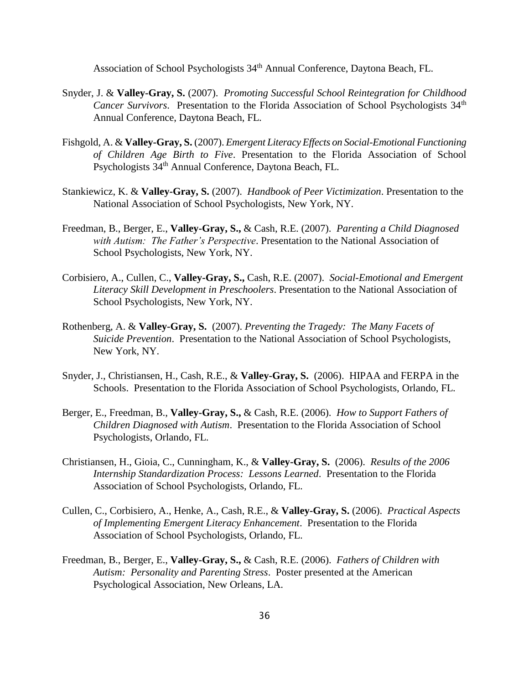Association of School Psychologists 34<sup>th</sup> Annual Conference, Daytona Beach, FL.

- Snyder, J. & **Valley-Gray, S.** (2007). *Promoting Successful School Reintegration for Childhood Cancer Survivors.* Presentation to the Florida Association of School Psychologists 34<sup>th</sup> Annual Conference, Daytona Beach, FL.
- Fishgold, A. & **Valley-Gray, S.** (2007). *Emergent Literacy Effects on Social-Emotional Functioning of Children Age Birth to Five*. Presentation to the Florida Association of School Psychologists  $34<sup>th</sup>$  Annual Conference, Daytona Beach, FL.
- Stankiewicz, K. & **Valley-Gray, S.** (2007). *Handbook of Peer Victimization*. Presentation to the National Association of School Psychologists, New York, NY.
- Freedman, B., Berger, E., **Valley-Gray, S.,** & Cash, R.E. (2007). *Parenting a Child Diagnosed with Autism: The Father's Perspective*. Presentation to the National Association of School Psychologists, New York, NY.
- Corbisiero, A., Cullen, C., **Valley-Gray, S.,** Cash, R.E. (2007). *Social-Emotional and Emergent Literacy Skill Development in Preschoolers*. Presentation to the National Association of School Psychologists, New York, NY.
- Rothenberg, A. & **Valley-Gray, S.** (2007). *Preventing the Tragedy: The Many Facets of Suicide Prevention*. Presentation to the National Association of School Psychologists, New York, NY.
- Snyder, J., Christiansen, H., Cash, R.E., & **Valley-Gray, S.** (2006). HIPAA and FERPA in the Schools. Presentation to the Florida Association of School Psychologists, Orlando, FL.
- Berger, E., Freedman, B., **Valley-Gray, S.,** & Cash, R.E. (2006). *How to Support Fathers of Children Diagnosed with Autism*. Presentation to the Florida Association of School Psychologists, Orlando, FL.
- Christiansen, H., Gioia, C., Cunningham, K., & **Valley-Gray, S.** (2006). *Results of the 2006 Internship Standardization Process: Lessons Learned*. Presentation to the Florida Association of School Psychologists, Orlando, FL.
- Cullen, C., Corbisiero, A., Henke, A., Cash, R.E., & **Valley-Gray, S.** (2006). *Practical Aspects of Implementing Emergent Literacy Enhancement*. Presentation to the Florida Association of School Psychologists, Orlando, FL.
- Freedman, B., Berger, E., **Valley-Gray, S.,** & Cash, R.E. (2006). *Fathers of Children with Autism: Personality and Parenting Stress*. Poster presented at the American Psychological Association, New Orleans, LA.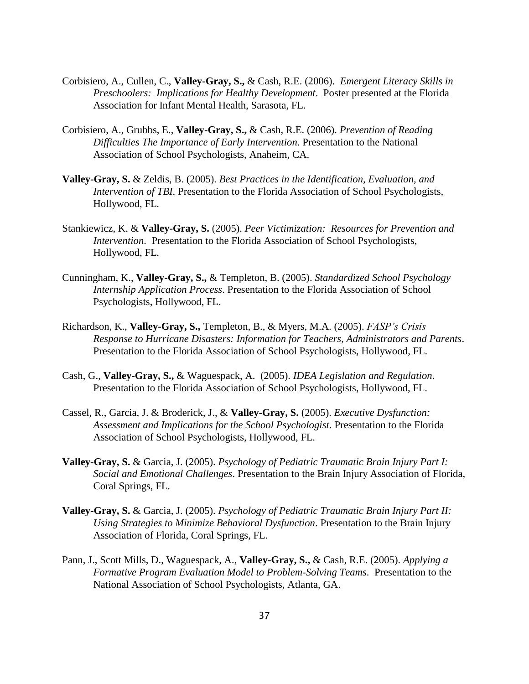- Corbisiero, A., Cullen, C., **Valley-Gray, S.,** & Cash, R.E. (2006). *Emergent Literacy Skills in Preschoolers: Implications for Healthy Development*. Poster presented at the Florida Association for Infant Mental Health, Sarasota, FL.
- Corbisiero, A., Grubbs, E., **Valley-Gray, S.,** & Cash, R.E. (2006). *Prevention of Reading Difficulties The Importance of Early Intervention*. Presentation to the National Association of School Psychologists, Anaheim, CA.
- **Valley-Gray, S.** & Zeldis, B. (2005). *Best Practices in the Identification, Evaluation, and Intervention of TBI*. Presentation to the Florida Association of School Psychologists, Hollywood, FL.
- Stankiewicz, K. & **Valley-Gray, S.** (2005). *Peer Victimization: Resources for Prevention and Intervention*. Presentation to the Florida Association of School Psychologists, Hollywood, FL.
- Cunningham, K., **Valley-Gray, S.,** & Templeton, B. (2005). *Standardized School Psychology Internship Application Process*. Presentation to the Florida Association of School Psychologists, Hollywood, FL.
- Richardson, K., **Valley-Gray, S.,** Templeton, B., & Myers, M.A. (2005). *FASP's Crisis Response to Hurricane Disasters: Information for Teachers, Administrators and Parents*. Presentation to the Florida Association of School Psychologists, Hollywood, FL.
- Cash, G., **Valley-Gray, S.,** & Waguespack, A. (2005). *IDEA Legislation and Regulation*. Presentation to the Florida Association of School Psychologists, Hollywood, FL.
- Cassel, R., Garcia, J. & Broderick, J., & **Valley-Gray, S.** (2005). *Executive Dysfunction: Assessment and Implications for the School Psychologist*. Presentation to the Florida Association of School Psychologists, Hollywood, FL.
- **Valley-Gray, S.** & Garcia, J. (2005). *Psychology of Pediatric Traumatic Brain Injury Part I: Social and Emotional Challenges*. Presentation to the Brain Injury Association of Florida, Coral Springs, FL.
- **Valley-Gray, S.** & Garcia, J. (2005). *Psychology of Pediatric Traumatic Brain Injury Part II: Using Strategies to Minimize Behavioral Dysfunction*. Presentation to the Brain Injury Association of Florida, Coral Springs, FL.
- Pann, J., Scott Mills, D., Waguespack, A., **Valley-Gray, S.,** & Cash, R.E. (2005). *Applying a Formative Program Evaluation Model to Problem-Solving Teams*. Presentation to the National Association of School Psychologists, Atlanta, GA.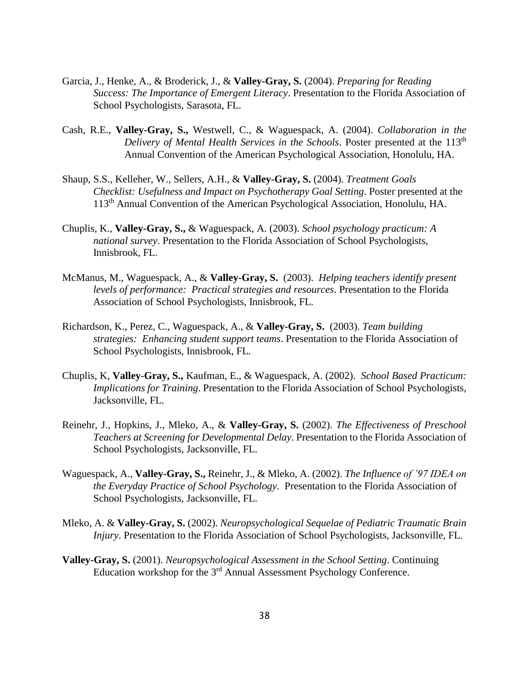- Garcia, J., Henke, A., & Broderick, J., & **Valley-Gray, S.** (2004). *Preparing for Reading Success: The Importance of Emergent Literacy*. Presentation to the Florida Association of School Psychologists, Sarasota, FL.
- Cash, R.E., **Valley-Gray, S.,** Westwell, C., & Waguespack, A. (2004). *Collaboration in the Delivery of Mental Health Services in the Schools*. Poster presented at the 113<sup>th</sup> Annual Convention of the American Psychological Association, Honolulu, HA.
- Shaup, S.S., Kelleher, W., Sellers, A.H., & **Valley-Gray, S.** (2004). *Treatment Goals Checklist: Usefulness and Impact on Psychotherapy Goal Setting*. Poster presented at the 113th Annual Convention of the American Psychological Association, Honolulu, HA.
- Chuplis, K., **Valley-Gray, S.,** & Waguespack, A. (2003). *School psychology practicum: A national survey*. Presentation to the Florida Association of School Psychologists, Innisbrook, FL.
- McManus, M., Waguespack, A., & **Valley-Gray, S.** (2003). *Helping teachers identify present levels of performance: Practical strategies and resources*. Presentation to the Florida Association of School Psychologists, Innisbrook, FL.
- Richardson, K., Perez, C., Waguespack, A., & **Valley-Gray, S.** (2003). *Team building strategies: Enhancing student support teams*. Presentation to the Florida Association of School Psychologists, Innisbrook, FL.
- Chuplis, K, **Valley-Gray, S.,** Kaufman, E., & Waguespack, A. (2002). *School Based Practicum: Implications for Training*. Presentation to the Florida Association of School Psychologists, Jacksonville, FL.
- Reinehr, J., Hopkins, J., Mleko, A., & **Valley-Gray, S.** (2002). *The Effectiveness of Preschool Teachers at Screening for Developmental Delay*. Presentation to the Florida Association of School Psychologists, Jacksonville, FL.
- Waguespack, A., **Valley-Gray, S.,** Reinehr, J., & Mleko, A. (2002). *The Influence of '97 IDEA on the Everyday Practice of School Psychology*. Presentation to the Florida Association of School Psychologists, Jacksonville, FL.
- Mleko, A. & **Valley-Gray, S.** (2002). *Neuropsychological Sequelae of Pediatric Traumatic Brain Injury*. Presentation to the Florida Association of School Psychologists, Jacksonville, FL.
- **Valley-Gray, S.** (2001). *Neuropsychological Assessment in the School Setting*. Continuing Education workshop for the 3<sup>rd</sup> Annual Assessment Psychology Conference.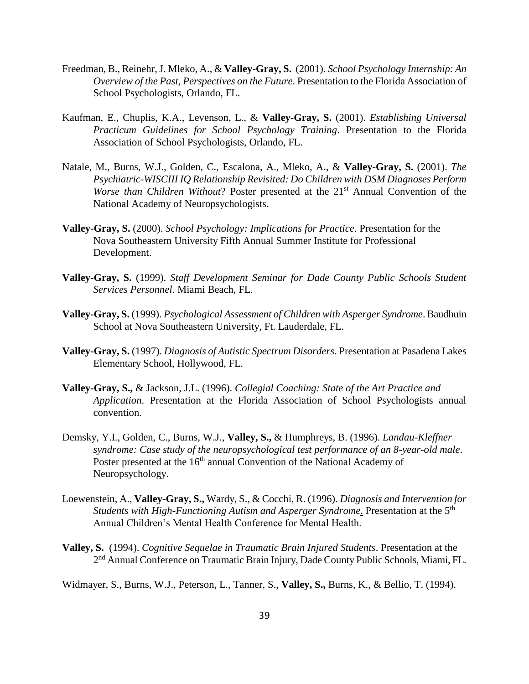- Freedman, B., Reinehr, J. Mleko, A., & **Valley-Gray, S.** (2001). *School Psychology Internship: An Overview of the Past, Perspectives on the Future*. Presentation to the Florida Association of School Psychologists, Orlando, FL.
- Kaufman, E., Chuplis, K.A., Levenson, L., & **Valley-Gray, S.** (2001). *Establishing Universal Practicum Guidelines for School Psychology Training*. Presentation to the Florida Association of School Psychologists, Orlando, FL.
- Natale, M., Burns, W.J., Golden, C., Escalona, A., Mleko, A., & **Valley-Gray, S.** (2001). *The Psychiatric-WISCIII IQ Relationship Revisited: Do Children with DSM Diagnoses Perform Worse than Children Without*? Poster presented at the 21<sup>st</sup> Annual Convention of the National Academy of Neuropsychologists.
- **Valley-Gray, S.** (2000). *School Psychology: Implications for Practice*. Presentation for the Nova Southeastern University Fifth Annual Summer Institute for Professional Development.
- **Valley-Gray, S.** (1999). *Staff Development Seminar for Dade County Public Schools Student Services Personnel*. Miami Beach, FL.
- **Valley-Gray, S.** (1999). *Psychological Assessment of Children with Asperger Syndrome*. Baudhuin School at Nova Southeastern University, Ft. Lauderdale, FL.
- **Valley-Gray, S.** (1997). *Diagnosis of Autistic Spectrum Disorders*. Presentation at Pasadena Lakes Elementary School, Hollywood, FL.
- **Valley-Gray, S.,** & Jackson, J.L. (1996). *Collegial Coaching: State of the Art Practice and Application*. Presentation at the Florida Association of School Psychologists annual convention.
- Demsky, Y.I., Golden, C., Burns, W.J., **Valley, S.,** & Humphreys, B. (1996). *Landau-Kleffner syndrome: Case study of the neuropsychological test performance of an 8-year-old male*. Poster presented at the 16<sup>th</sup> annual Convention of the National Academy of Neuropsychology.
- Loewenstein, A., **Valley-Gray, S.,** Wardy, S., & Cocchi, R. (1996). *Diagnosis and Intervention for Students with High-Functioning Autism and Asperger Syndrome*. Presentation at the 5th Annual Children's Mental Health Conference for Mental Health.
- **Valley, S.** (1994). *Cognitive Sequelae in Traumatic Brain Injured Students*. Presentation at the 2<sup>nd</sup> Annual Conference on Traumatic Brain Injury, Dade County Public Schools, Miami, FL.
- Widmayer, S., Burns, W.J., Peterson, L., Tanner, S., **Valley, S.,** Burns, K., & Bellio, T. (1994).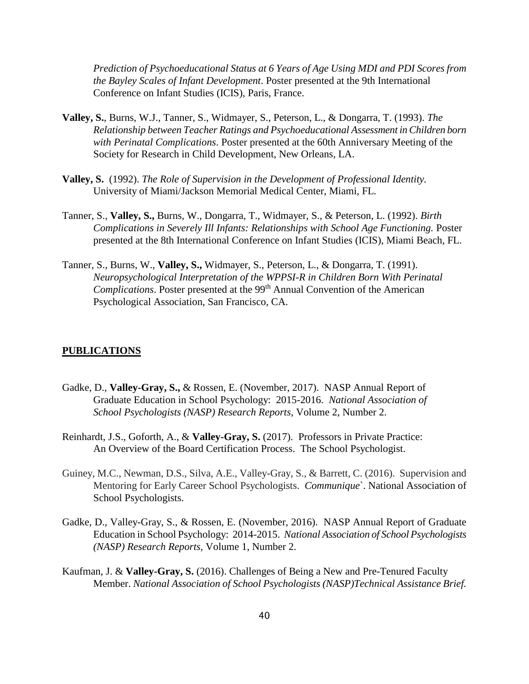*Prediction of Psychoeducational Status at 6 Years of Age Using MDI and PDI Scores from the Bayley Scales of Infant Development*. Poster presented at the 9th International Conference on Infant Studies (ICIS), Paris, France.

- **Valley, S.**, Burns, W.J., Tanner, S., Widmayer, S., Peterson, L., & Dongarra, T. (1993). *The Relationship between Teacher Ratings and Psychoeducational Assessment in Children born with Perinatal Complications*. Poster presented at the 60th Anniversary Meeting of the Society for Research in Child Development, New Orleans, LA.
- **Valley, S.** (1992). *The Role of Supervision in the Development of Professional Identity.*  University of Miami/Jackson Memorial Medical Center, Miami, FL.
- Tanner, S., **Valley, S.,** Burns, W., Dongarra, T., Widmayer, S., & Peterson, L. (1992). *Birth Complications in Severely Ill Infants: Relationships with School Age Functioning.* Poster presented at the 8th International Conference on Infant Studies (ICIS), Miami Beach, FL.
- Tanner, S., Burns, W., **Valley, S.,** Widmayer, S., Peterson, L., & Dongarra, T. (1991). *Neuropsychological Interpretation of the WPPSI-R in Children Born With Perinatal Complications*. Poster presented at the 99<sup>th</sup> Annual Convention of the American Psychological Association, San Francisco, CA.

#### **PUBLICATIONS**

- Gadke, D., **Valley-Gray, S.,** & Rossen, E. (November, 2017). NASP Annual Report of Graduate Education in School Psychology: 2015-2016. *National Association of School Psychologists (NASP) Research Reports,* Volume 2, Number 2.
- Reinhardt, J.S., Goforth, A., & **Valley-Gray, S.** (2017). Professors in Private Practice: An Overview of the Board Certification Process. The School Psychologist.
- Guiney, M.C., Newman, D.S., Silva, A.E., Valley-Gray, S., & Barrett, C. (2016). Supervision and Mentoring for Early Career School Psychologists. *Communique*`. National Association of School Psychologists.
- Gadke, D., Valley-Gray, S., & Rossen, E. (November, 2016). NASP Annual Report of Graduate Education in School Psychology: 2014-2015. *National Association of School Psychologists (NASP) Research Reports,* Volume 1, Number 2.
- Kaufman, J. & **Valley-Gray, S.** (2016). Challenges of Being a New and Pre-Tenured Faculty Member. *National Association of School Psychologists (NASP)Technical Assistance Brief.*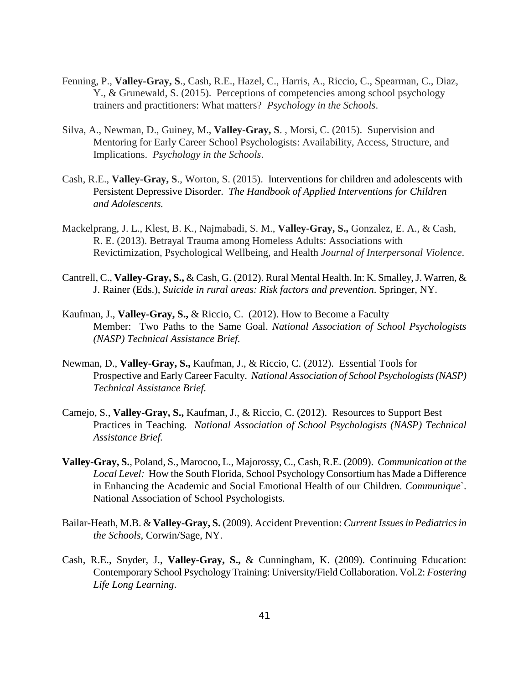- Fenning, P., **Valley-Gray, S**., Cash, R.E., Hazel, C., Harris, A., Riccio, C., Spearman, C., Diaz, Y., & Grunewald, S. (2015). Perceptions of competencies among school psychology trainers and practitioners: What matters? *Psychology in the Schools*.
- Silva, A., Newman, D., Guiney, M., **Valley-Gray, S**. , Morsi, C. (2015). Supervision and Mentoring for Early Career School Psychologists: Availability, Access, Structure, and Implications. *Psychology in the Schools*.
- Cash, R.E., **Valley-Gray, S**., Worton, S. (2015). Interventions for children and adolescents with Persistent Depressive Disorder. *The Handbook of Applied Interventions for Children and Adolescents.*
- Mackelprang, J. L., Klest, B. K., Najmabadi, S. M., **Valley-Gray, S.,** Gonzalez, E. A., & Cash, R. E. (2013). Betrayal Trauma among Homeless Adults: Associations with Revictimization*,* Psychological Wellbeing, and Health *Journal of Interpersonal Violence*.
- Cantrell, C., **Valley-Gray, S.,** & Cash, G. (2012). Rural Mental Health. In: K. Smalley, J. Warren, & J. Rainer (Eds.), *Suicide in rural areas: Risk factors and prevention*. Springer, NY.
- Kaufman, J., **Valley-Gray, S.,** & Riccio, C. (2012). How to Become a Faculty Member: Two Paths to the Same Goal. *National Association of School Psychologists (NASP) Technical Assistance Brief.*
- Newman, D., **Valley-Gray, S.,** Kaufman, J., & Riccio, C. (2012). Essential Tools for Prospective and Early Career Faculty. *National Association of School Psychologists (NASP) Technical Assistance Brief.*
- Camejo, S., **Valley-Gray, S.,** Kaufman, J., & Riccio, C. (2012). Resources to Support Best Practices in Teaching*. National Association of School Psychologists (NASP) Technical Assistance Brief.*
- **Valley-Gray, S.**, Poland, S., Marocoo, L., Majorossy, C., Cash, R.E. (2009). *Communication at the Local Level:* How the South Florida, School Psychology Consortium has Made a Difference in Enhancing the Academic and Social Emotional Health of our Children*. Communique*`. National Association of School Psychologists.
- Bailar-Heath, M.B. & **Valley-Gray, S.** (2009). Accident Prevention: *Current Issues in Pediatrics in the Schools,* Corwin/Sage, NY.
- Cash, R.E., Snyder, J., **Valley-Gray, S.,** & Cunningham, K. (2009). Continuing Education: Contemporary School Psychology Training: University/Field Collaboration. Vol.2: *Fostering Life Long Learning*.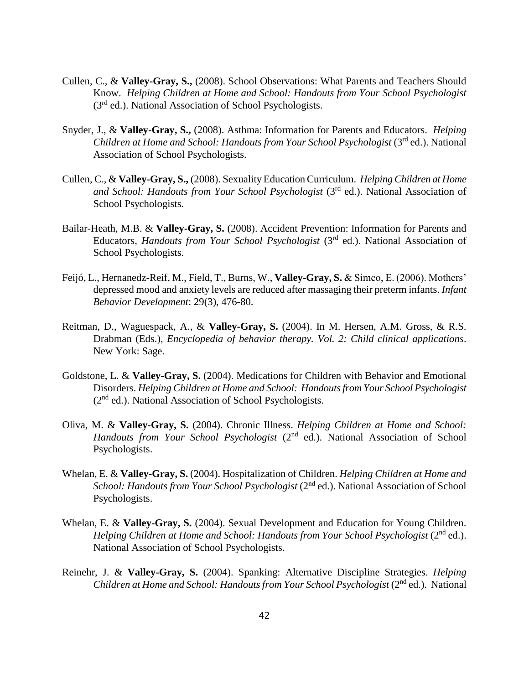- Cullen, C., & **Valley-Gray, S.,** (2008). School Observations: What Parents and Teachers Should Know. *Helping Children at Home and School: Handouts from Your School Psychologist*  (3rd ed.). National Association of School Psychologists.
- Snyder, J., & **Valley-Gray, S.,** (2008). Asthma: Information for Parents and Educators. *Helping Children at Home and School: Handouts from Your School Psychologist (3<sup>rd</sup> ed.). National* Association of School Psychologists.
- Cullen, C., & **Valley-Gray, S.,** (2008). Sexuality Education Curriculum. *Helping Children at Home and School: Handouts from Your School Psychologist (3<sup>rd</sup> ed.). National Association of* School Psychologists.
- Bailar-Heath, M.B. & **Valley-Gray, S.** (2008). Accident Prevention: Information for Parents and Educators, *Handouts from Your School Psychologist* (3rd ed.). National Association of School Psychologists.
- Feijó, L., Hernanedz-Reif, M., Field, T., Burns, W., **Valley-Gray, S.** & Simco, E. (2006). Mothers' depressed mood and anxiety levels are reduced after massaging their preterm infants. *Infant Behavior Development*: 29(3), 476-80.
- Reitman, D., Waguespack, A., & **Valley-Gray, S.** (2004). In M. Hersen, A.M. Gross, & R.S. Drabman (Eds.), *Encyclopedia of behavior therapy. Vol. 2: Child clinical applications*. New York: Sage.
- Goldstone, L. & **Valley-Gray, S.** (2004). Medications for Children with Behavior and Emotional Disorders. *Helping Children at Home and School: Handouts from Your School Psychologist* (2nd ed.). National Association of School Psychologists.
- Oliva, M. & **Valley-Gray, S.** (2004). Chronic Illness. *Helping Children at Home and School: Handouts from Your School Psychologist* (2nd ed.). National Association of School Psychologists.
- Whelan, E. & **Valley-Gray, S.** (2004). Hospitalization of Children. *Helping Children at Home and School: Handouts from Your School Psychologist* (2nd ed.). National Association of School Psychologists.
- Whelan, E. & **Valley-Gray, S.** (2004). Sexual Development and Education for Young Children. *Helping Children at Home and School: Handouts from Your School Psychologist* (2<sup>nd</sup> ed.). National Association of School Psychologists.
- Reinehr, J. & **Valley-Gray, S.** (2004). Spanking: Alternative Discipline Strategies. *Helping Children at Home and School: Handouts from Your School Psychologist* (2<sup>nd</sup> ed.). National